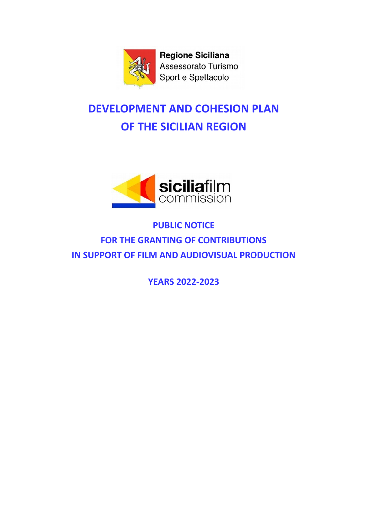

**Regione Siciliana** Assessorato Turismo Sport e Spettacolo

# **DEVELOPMENT AND COHESION PLAN OF THE SICILIAN REGION**



## **PUBLIC NOTICE FOR THE GRANTING OF CONTRIBUTIONS IN SUPPORT OF FILM AND AUDIOVISUAL PRODUCTION**

**YEARS 2022-2023**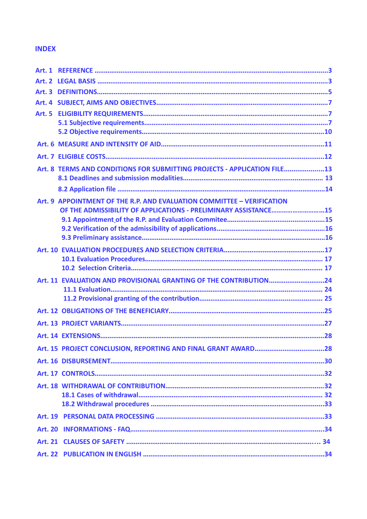## **INDEX**

| <b>Art. 2</b> |                                                                          |  |
|---------------|--------------------------------------------------------------------------|--|
|               |                                                                          |  |
|               |                                                                          |  |
|               |                                                                          |  |
|               |                                                                          |  |
|               |                                                                          |  |
|               |                                                                          |  |
|               |                                                                          |  |
|               | Art. 8 TERMS AND CONDITIONS FOR SUBMITTING PROJECTS - APPLICATION FILE13 |  |
|               |                                                                          |  |
|               |                                                                          |  |
| <b>Art. 9</b> | APPOINTMENT OF THE R.P. AND EVALUATION COMMITTEE - VERIFICATION          |  |
|               | OF THE ADMISSIBILITY OF APPLICATIONS - PRELIMINARY ASSISTANCE15          |  |
|               |                                                                          |  |
|               |                                                                          |  |
|               |                                                                          |  |
|               |                                                                          |  |
|               |                                                                          |  |
|               | Art. 11 EVALUATION AND PROVISIONAL GRANTING OF THE CONTRIBUTION24        |  |
|               |                                                                          |  |
|               |                                                                          |  |
|               |                                                                          |  |
|               |                                                                          |  |
|               |                                                                          |  |
|               |                                                                          |  |
|               |                                                                          |  |
|               |                                                                          |  |
|               |                                                                          |  |
|               |                                                                          |  |
|               |                                                                          |  |
|               |                                                                          |  |
|               |                                                                          |  |
|               |                                                                          |  |
|               |                                                                          |  |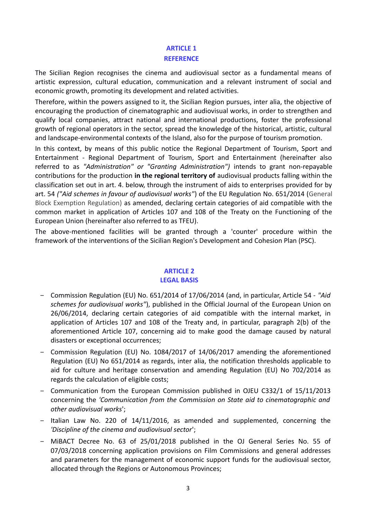## **ARTICLE 1 REFERENCE**

The Sicilian Region recognises the cinema and audiovisual sector as a fundamental means of artistic expression, cultural education, communication and a relevant instrument of social and economic growth, promoting its development and related activities.

Therefore, within the powers assigned to it, the Sicilian Region pursues, inter alia, the objective of encouraging the production of cinematographic and audiovisual works, in order to strengthen and qualify local companies, attract national and international productions, foster the professional growth of regional operators in the sector, spread the knowledge of the historical, artistic, cultural and landscape-environmental contexts of the Island, also for the purpose of tourism promotion.

In this context, by means of this public notice the Regional Department of Tourism, Sport and Entertainment - Regional Department of Tourism, Sport and Entertainment (hereinafter also referred to as *"Administration" or "Granting Administration")* intends to grant non-repayable contributions for the production **in the regional territory of** audiovisual products falling within the classification set out in art. 4. below, through the instrument of aids to enterprises provided for by art. 54 *("Aid schemes in favour of audiovisual works"*) of the EU Regulation No. 651/2014 (General Block Exemption Regulation) as amended, declaring certain categories of aid compatible with the common market in application of Articles 107 and 108 of the Treaty on the Functioning of the European Union (hereinafter also referred to as TFEU).

The above-mentioned facilities will be granted through a 'counter' procedure within the framework of the interventions of the Sicilian Region's Development and Cohesion Plan (PSC).

## **ARTICLE 2 LEGAL BASIS**

- ‒ Commission Regulation (EU) No. 651/2014 of 17/06/2014 (and, in particular, Article 54 *"Aid schemes for audiovisual works"*), published in the Official Journal of the European Union on 26/06/2014, declaring certain categories of aid compatible with the internal market, in application of Articles 107 and 108 of the Treaty and, in particular, paragraph 2(b) of the aforementioned Article 107, concerning aid to make good the damage caused by natural disasters or exceptional occurrences;
- ‒ Commission Regulation (EU) No. 1084/2017 of 14/06/2017 amending the aforementioned Regulation (EU) No 651/2014 as regards, inter alia, the notification thresholds applicable to aid for culture and heritage conservation and amending Regulation (EU) No 702/2014 as regards the calculation of eligible costs;
- ‒ Communication from the European Commission published in OJEU C332/1 of 15/11/2013 concerning the *'Communication from the Commission on State aid to cinematographic and other audiovisual works*';
- Italian Law No. 220 of 14/11/2016, as amended and supplemented, concerning the *'Discipline of the cinema and audiovisual sector*';
- ‒ MiBACT Decree No. 63 of 25/01/2018 published in the OJ General Series No. 55 of 07/03/2018 concerning application provisions on Film Commissions and general addresses and parameters for the management of economic support funds for the audiovisual sector, allocated through the Regions or Autonomous Provinces;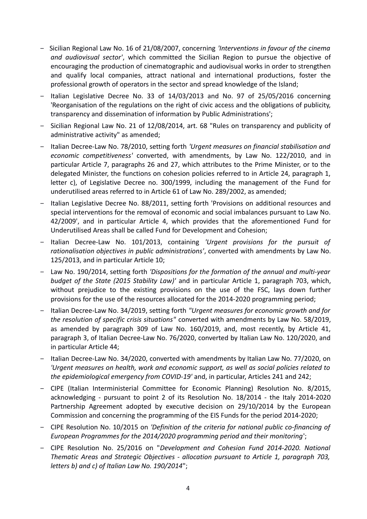- ‒ Sicilian Regional Law No. 16 of 21/08/2007, concerning *'Interventions in favour of the cinema and audiovisual sector'*, which committed the Sicilian Region to pursue the objective of encouraging the production of cinematographic and audiovisual works in order to strengthen and qualify local companies, attract national and international productions, foster the professional growth of operators in the sector and spread knowledge of the Island;
- Italian Legislative Decree No. 33 of 14/03/2013 and No. 97 of 25/05/2016 concerning 'Reorganisation of the regulations on the right of civic access and the obligations of publicity, transparency and dissemination of information by Public Administrations';
- ‒ Sicilian Regional Law No. 21 of 12/08/2014, art. 68 "Rules on transparency and publicity of administrative activity" as amended;
- ‒ Italian Decree-Law No. 78/2010, setting forth *'Urgent measures on financial stabilisation and economic competitiveness'* converted, with amendments, by Law No. 122/2010, and in particular Article 7, paragraphs 26 and 27, which attributes to the Prime Minister, or to the delegated Minister, the functions on cohesion policies referred to in Article 24, paragraph 1, letter c), of Legislative Decree no. 300/1999, including the management of the Fund for underutilised areas referred to in Article 61 of Law No. 289/2002, as amended;
- ‒ Italian Legislative Decree No. 88/2011, setting forth 'Provisions on additional resources and special interventions for the removal of economic and social imbalances pursuant to Law No. 42/2009', and in particular Article 4, which provides that the aforementioned Fund for Underutilised Areas shall be called Fund for Development and Cohesion;
- ‒ Italian Decree-Law No. 101/2013, containing *'Urgent provisions for the pursuit of rationalisation objectives in public administrations'*, converted with amendments by Law No. 125/2013, and in particular Article 10;
- ‒ Law No. 190/2014, setting forth *'Dispositions for the formation of the annual and multi-year budget of the State (2015 Stability Law)'* and in particular Article 1, paragraph 703, which, without prejudice to the existing provisions on the use of the FSC, lays down further provisions for the use of the resources allocated for the 2014-2020 programming period;
- ‒ Italian Decree-Law No. 34/2019, setting forth *"Urgent measures for economic growth and for the resolution of specific crisis situations"* converted with amendments by Law No. 58/2019, as amended by paragraph 309 of Law No. 160/2019, and, most recently, by Article 41, paragraph 3, of Italian Decree-Law No. 76/2020, converted by Italian Law No. 120/2020, and in particular Article 44;
- ‒ Italian Decree-Law No. 34/2020, converted with amendments by Italian Law No. 77/2020, on *'Urgent measures on health, work and economic support, as well as social policies related to the epidemiological emergency from COVID-19'* and, in particular, Articles 241 and 242;
- ‒ CIPE (Italian Interministerial Committee for Economic Planning) Resolution No. 8/2015, acknowledging - pursuant to point 2 of its Resolution No. 18/2014 - the Italy 2014-2020 Partnership Agreement adopted by executive decision on 29/10/2014 by the European Commission and concerning the programming of the EIS Funds for the period 2014-2020;
- ‒ CIPE Resolution No. 10/2015 on *'Definition of the criteria for national public co-financing of European Programmes for the 2014/2020 programming period and their monitoring*';
- ‒ CIPE Resolution No. 25/2016 on "*Development and Cohesion Fund 2014-2020. National Thematic Areas and Strategic Objectives - allocation pursuant to Article 1, paragraph 703, letters b) and c) of Italian Law No. 190/2014*";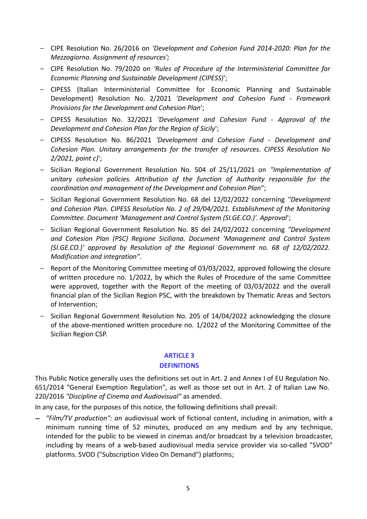- ‒ CIPE Resolution No. 26/2016 on *'Development and Cohesion Fund 2014-2020: Plan for the Mezzogiorno. Assignment of resources';*
- ‒ CIPE Resolution No. 79/2020 on *'Rules of Procedure of the Interministerial Committee for Economic Planning and Sustainable Development (CIPESS)*';
- ‒ CIPESS (Italian Interministerial Committee for Economic Planning and Sustainable Development) Resolution No. 2/2021 *'Development and Cohesion Fund - Framework Provisions for the Development and Cohesion Plan*';
- ‒ CIPESS Resolution No. 32/2021 *'Development and Cohesion Fund Approval of the Development and Cohesion Plan for the Region of Sicily*';
- ‒ CIPESS Resolution No. 86/2021 *'Development and Cohesion Fund Development and Cohesion Plan. Unitary arrangements for the transfer of resources. CIPESS Resolution No 2/2021, point c)*';
- ‒ Sicilian Regional Government Resolution No. 504 of 25/11/2021 on *"Implementation of unitary cohesion policies. Attribution of the function of Authority responsible for the coordination and management of the Development and Cohesion Plan*";
- ‒ Sicilian Regional Government Resolution No. 68 del 12/02/2022 concerning *"Development and Cohesion Plan. CIPESS Resolution No. 2 of 29/04/2021. Establishment of the Monitoring Committee. Document 'Management and Control System (SI.GE.CO.)'. Approval*';
- ‒ Sicilian Regional Government Resolution No. 85 del 24/02/2022 concerning *"Development and Cohesion Plan (PSC) Regione Siciliana. Document 'Management and Control System (SI.GE.CO.)' approved by Resolution of the Regional Government no. 68 of 12/02/2022. Modification and integration"*.
- Report of the Monitoring Committee meeting of 03/03/2022, approved following the closure of written procedure no. 1/2022, by which the Rules of Procedure of the same Committee were approved, together with the Report of the meeting of 03/03/2022 and the overall financial plan of the Sicilian Region PSC, with the breakdown by Thematic Areas and Sectors of Intervention;
- ‒ Sicilian Regional Government Resolution No. 205 of 14/04/2022 acknowledging the closure of the above-mentioned written procedure no. 1/2022 of the Monitoring Committee of the Sicilian Region CSP.

#### **ARTICLE 3**

#### **DEFINITIONS**

This Public Notice generally uses the definitions set out in Art. 2 and Annex I of EU Regulation No. 651/2014 "General Exemption Regulation", as well as those set out in Art. 2 of Italian Law No. 220/2016 *"Discipline of Cinema and Audiovisual"* as amended.

In any case, for the purposes of this notice, the following definitions shall prevail:

 *"Film/TV production": an* audiovisual work of fictional content, including in animation, with a minimum running time of 52 minutes, produced on any medium and by any technique, intended for the public to be viewed in cinemas and/or broadcast by a television broadcaster, including by means of a web-based audiovisual media service provider via so-called "SVOD" platforms. SVOD ("Subscription Video On Demand") platforms;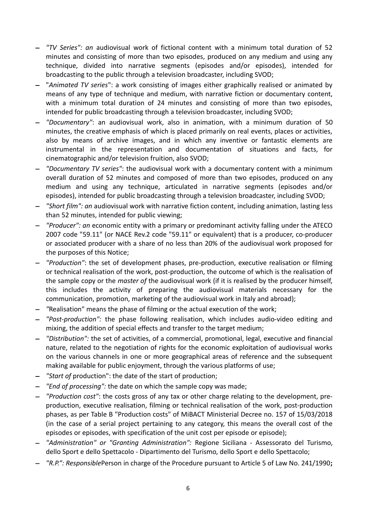- *"TV Series": an* audiovisual work of fictional content with a minimum total duration of 52 minutes and consisting of more than two episodes, produced on any medium and using any technique, divided into narrative segments (episodes and/or episodes), intended for broadcasting to the public through a television broadcaster, including SVOD;
- "*Animated TV series*": a work consisting of images either graphically realised or animated by means of any type of technique and medium, with narrative fiction or documentary content, with a minimum total duration of 24 minutes and consisting of more than two episodes, intended for public broadcasting through a television broadcaster, including SVOD;
- *"Documentary"*: an audiovisual work, also in animation, with a minimum duration of 50 minutes, the creative emphasis of which is placed primarily on real events, places or activities, also by means of archive images, and in which any inventive or fantastic elements are instrumental in the representation and documentation of situations and facts, for cinematographic and/or television fruition, also SVOD;
- *"Documentary TV series"*: the audiovisual work with a documentary content with a minimum overall duration of 52 minutes and composed of more than two episodes, produced on any medium and using any technique, articulated in narrative segments (episodes and/or episodes), intended for public broadcasting through a television broadcaster, including SVOD;
- *"Short film": an* audiovisual work with narrative fiction content, including animation, lasting less than 52 minutes, intended for public viewing;
- *"Producer": an* economic entity with a primary or predominant activity falling under the ATECO 2007 code "59.11" (or NACE Rev.2 code "59.11" or equivalent) that is a producer, co-producer or associated producer with a share of no less than 20% of the audiovisual work proposed for the purposes of this Notice;
- *"Production"*: the set of development phases, pre-production, executive realisation or filming or technical realisation of the work, post-production, the outcome of which is the realisation of the sample copy or the *master of* the audiovisual work (if it is realised by the producer himself, this includes the activity of preparing the audiovisual materials necessary for the communication, promotion, marketing of the audiovisual work in Italy and abroad);
- *"*Realisation" means the phase of filming or the actual execution of the work;
- *"Post-production":* the phase following realisation, which includes audio-video editing and mixing, the addition of special effects and transfer to the target medium;
- *"Distribution":* the set of activities, of a commercial, promotional, legal, executive and financial nature, related to the negotiation of rights for the economic exploitation of audiovisual works on the various channels in one or more geographical areas of reference and the subsequent making available for public enjoyment, through the various platforms of use;
- *"Start of* production": the date of the start of production;
- *"End of processing":* the date on which the sample copy was made;
- *"Production cost"*: the costs gross of any tax or other charge relating to the development, preproduction, executive realisation, filming or technical realisation of the work, post-production phases, as per Table B "Production costs" of MiBACT Ministerial Decree no. 157 of 15/03/2018 (in the case of a serial project pertaining to any category, this means the overall cost of the episodes or episodes, with specification of the unit cost per episode or episode);
- *"Administration" or "Granting Administration":* Regione Siciliana Assessorato del Turismo, dello Sport e dello Spettacolo - Dipartimento del Turismo, dello Sport e dello Spettacolo;
- *"R.P.": Responsible*Person in charge of the Procedure pursuant to Article 5 of Law No. 241/1990**;**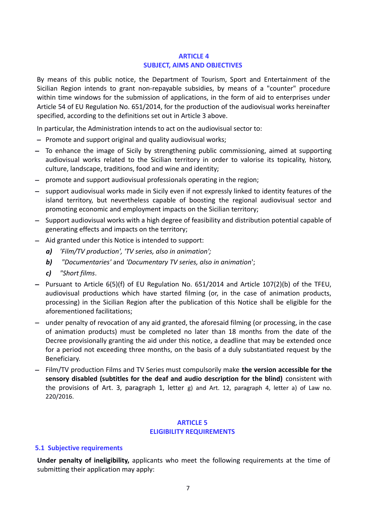#### **ARTICLE 4 SUBJECT, AIMS AND OBJECTIVES**

By means of this public notice, the Department of Tourism, Sport and Entertainment of the Sicilian Region intends to grant non-repayable subsidies, by means of a "counter" procedure within time windows for the submission of applications, in the form of aid to enterprises under Article 54 of EU Regulation No. 651/2014, for the production of the audiovisual works hereinafter specified, according to the definitions set out in Article 3 above.

In particular, the Administration intends to act on the audiovisual sector to:

- $-$  Promote and support original and quality audiovisual works;
- To enhance the image of Sicily by strengthening public commissioning, aimed at supporting audiovisual works related to the Sicilian territory in order to valorise its topicality, history, culture, landscape, traditions, food and wine and identity;
- promote and support audiovisual professionals operating in the region;
- support audiovisual works made in Sicily even if not expressly linked to identity features of the island territory, but nevertheless capable of boosting the regional audiovisual sector and promoting economic and employment impacts on the Sicilian territory;
- Support audiovisual works with a high degree of feasibility and distribution potential capable of generating effects and impacts on the territory;
- $-$  Aid granted under this Notice is intended to support:
	- *a) 'Film/TV production', 'TV series, also in animation';*
	- *b) "Documentaries'* and *'Documentary TV series, also in animation*';
	- *c) "Short films*.
- Pursuant to Article  $6(5)(f)$  of EU Regulation No.  $651/2014$  and Article  $107(2)(b)$  of the TFEU, audiovisual productions which have started filming (or, in the case of animation products, processing) in the Sicilian Region after the publication of this Notice shall be eligible for the aforementioned facilitations;
- under penalty of revocation of any aid granted, the aforesaid filming (or processing, in the case of animation products) must be completed no later than 18 months from the date of the Decree provisionally granting the aid under this notice, a deadline that may be extended once for a period not exceeding three months, on the basis of a duly substantiated request by the Beneficiary.
- Film/TV production Films and TV Series must compulsorily make **the version accessible for the sensory disabled (subtitles for the deaf and audio description for the blind)** consistent with the provisions of Art. 3, paragraph 1, letter g) and Art. 12, paragraph 4, letter a) of Law no. 220/2016.

## **ARTICLE 5 ELIGIBILITY REQUIREMENTS**

#### **5.1 Subjective requirements**

**Under penalty of ineligibility,** applicants who meet the following requirements at the time of submitting their application may apply: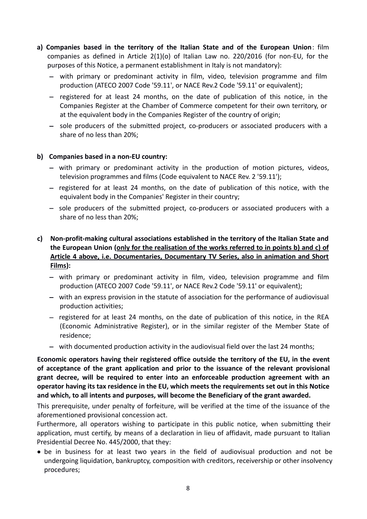- **a) Companies based in the territory of the Italian State and of the European Union**: film companies as defined in Article 2(1)(o) of Italian Law no. 220/2016 (for non-EU, for the purposes of this Notice, a permanent establishment in Italy is not mandatory):
	- with primary or predominant activity in film, video, television programme and film production (ATECO 2007 Code '59.11', or NACE Rev.2 Code '59.11' or equivalent);
	- $-$  registered for at least 24 months, on the date of publication of this notice, in the Companies Register at the Chamber of Commerce competent for their own territory, or at the equivalent body in the Companies Register of the country of origin;
	- $-$  sole producers of the submitted project, co-producers or associated producers with a share of no less than 20%;

## **b) Companies based in a non-EU country:**

- with primary or predominant activity in the production of motion pictures, videos, television programmes and films (Code equivalent to NACE Rev. 2 '59.11');
- $-$  registered for at least 24 months, on the date of publication of this notice, with the equivalent body in the Companies' Register in their country;
- sole producers of the submitted project, co-producers or associated producers with a share of no less than 20%;

## **c) Non-profit-making cultural associations established in the territory of the Italian State and the European Union (only for the realisation of the works referred to in points b) and c) of Article 4 above, i.e. Documentaries, Documentary TV Series, also in animation and Short Films):**

- with primary or predominant activity in film, video, television programme and film production (ATECO 2007 Code '59.11', or NACE Rev.2 Code '59.11' or equivalent);
- with an express provision in the statute of association for the performance of audiovisual production activities;
- registered for at least 24 months, on the date of publication of this notice, in the REA (Economic Administrative Register), or in the similar register of the Member State of residence;
- with documented production activity in the audiovisual field over the last 24 months;

**Economic operators having their registered office outside the territory of the EU, in the event of acceptance of the grant application and prior to the issuance of the relevant provisional grant decree, will be required to enter into an enforceable production agreement with an operator having its tax residence in the EU, which meets the requirements set out in this Notice and which, to all intents and purposes, will become the Beneficiary of the grant awarded.**

This prerequisite, under penalty of forfeiture, will be verified at the time of the issuance of the aforementioned provisional concession act.

Furthermore, all operators wishing to participate in this public notice, when submitting their application, must certify, by means of a declaration in lieu of affidavit, made pursuant to Italian Presidential Decree No. 445/2000, that they:

 be in business for at least two years in the field of audiovisual production and not be undergoing liquidation, bankruptcy, composition with creditors, receivership or other insolvency procedures;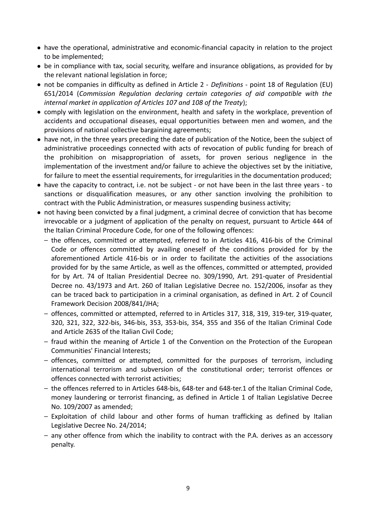- have the operational, administrative and economic-financial capacity in relation to the project to be implemented;
- be in compliance with tax, social security, welfare and insurance obligations, as provided for by the relevant national legislation in force;
- not be companies in difficulty as defined in Article 2 *Definitions*  point 18 of Regulation (EU) 651/2014 (*Commission Regulation declaring certain categories of aid compatible with the internal market in application of Articles 107 and 108 of the Treaty*);
- comply with legislation on the environment, health and safety in the workplace, prevention of accidents and occupational diseases, equal opportunities between men and women, and the provisions of national collective bargaining agreements;
- have not, in the three years preceding the date of publication of the Notice, been the subject of administrative proceedings connected with acts of revocation of public funding for breach of the prohibition on misappropriation of assets, for proven serious negligence in the implementation of the investment and/or failure to achieve the objectives set by the initiative, for failure to meet the essential requirements, for irregularities in the documentation produced;
- have the capacity to contract, i.e. not be subject or not have been in the last three years to sanctions or disqualification measures, or any other sanction involving the prohibition to contract with the Public Administration, or measures suspending business activity;
- not having been convicted by a final judgment, a criminal decree of conviction that has become irrevocable or a judgment of application of the penalty on request, pursuant to Article 444 of the Italian Criminal Procedure Code, for one of the following offences:
	- the offences, committed or attempted, referred to in Articles 416, 416-bis of the Criminal Code or offences committed by availing oneself of the conditions provided for by the aforementioned Article 416-bis or in order to facilitate the activities of the associations provided for by the same Article, as well as the offences, committed or attempted, provided for by Art. 74 of Italian Presidential Decree no. 309/1990, Art. 291-quater of Presidential Decree no. 43/1973 and Art. 260 of Italian Legislative Decree no. 152/2006, insofar as they can be traced back to participation in a criminal organisation, as defined in Art. 2 of Council Framework Decision 2008/841/JHA;
	- offences, committed or attempted, referred to in Articles 317, 318, 319, 319-ter, 319-quater, 320, 321, 322, 322-bis, 346-bis, 353, 353-bis, 354, 355 and 356 of the Italian Criminal Code and Article 2635 of the Italian Civil Code;
	- fraud within the meaning of Article 1 of the Convention on the Protection of the European Communities' Financial Interests;
	- offences, committed or attempted, committed for the purposes of terrorism, including international terrorism and subversion of the constitutional order; terrorist offences or offences connected with terrorist activities;
	- the offences referred to in Articles 648-bis, 648-ter and 648-ter.1 of the Italian Criminal Code, money laundering or terrorist financing, as defined in Article 1 of Italian Legislative Decree No. 109/2007 as amended;
	- Exploitation of child labour and other forms of human trafficking as defined by Italian Legislative Decree No. 24/2014;
	- any other offence from which the inability to contract with the P.A. derives as an accessory penalty.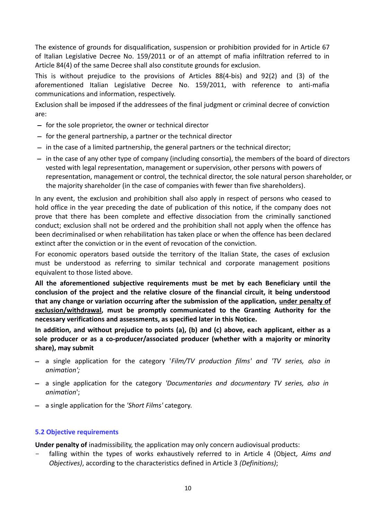The existence of grounds for disqualification, suspension or prohibition provided for in Article 67 of Italian Legislative Decree No. 159/2011 or of an attempt of mafia infiltration referred to in Article 84(4) of the same Decree shall also constitute grounds for exclusion.

This is without prejudice to the provisions of Articles 88(4-bis) and 92(2) and (3) of the aforementioned Italian Legislative Decree No. 159/2011, with reference to anti-mafia communications and information, respectively.

Exclusion shall be imposed if the addressees of the final judgment or criminal decree of conviction are:

- $-$  for the sole proprietor, the owner or technical director
- $-$  for the general partnership, a partner or the technical director
- $-$  in the case of a limited partnership, the general partners or the technical director;
- $-$  in the case of any other type of company (including consortia), the members of the board of directors vested with legal representation, management or supervision, other persons with powers of representation, management or control, the technical director, the sole natural person shareholder, or the majority shareholder (in the case of companies with fewer than five shareholders).

In any event, the exclusion and prohibition shall also apply in respect of persons who ceased to hold office in the year preceding the date of publication of this notice, if the company does not prove that there has been complete and effective dissociation from the criminally sanctioned conduct; exclusion shall not be ordered and the prohibition shall not apply when the offence has been decriminalised or when rehabilitation has taken place or when the offence has been declared extinct after the conviction or in the event of revocation of the conviction.

For economic operators based outside the territory of the Italian State, the cases of exclusion must be understood as referring to similar technical and corporate management positions equivalent to those listed above.

**All the aforementioned subjective requirements must be met by each Beneficiary until the conclusion of the project and the relative closure of the financial circuit, it being understood that any change or variation occurring after the submission of the application, under penalty of exclusion/withdrawal, must be promptly communicated to the Granting Authority for the necessary verifications and assessments, as specified later in this Notice.**

**In addition, and without prejudice to points (a), (b) and (c) above, each applicant, either as a sole producer or as a co-producer/associated producer (whether with a majority or minority share), may submit**

- a single application for the category '*Film/TV production films' and 'TV series, also in animation';*
- a single application for the category *'Documentaries and documentary TV series, also in animation*';
- a single application for the *'Short Films'* category.

#### **5.2 Objective requirements**

**Under penalty of** inadmissibility, the application may only concern audiovisual products:

falling within the types of works exhaustively referred to in Article 4 (Object, Aims and *Objectives)*, according to the characteristics defined in Article 3 *(Definitions)*;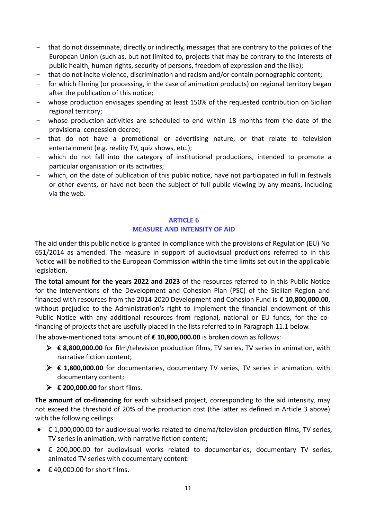- that do not disseminate, directly or indirectly, messages that are contrary to the policies of the European Union (such as, but not limited to, projects that may be contrary to the interests of public health, human rights, security of persons, freedom of expression and the like);
- that do not incite violence, discrimination and racism and/or contain pornographic content;
- for which filming (or processing, in the case of animation products) on regional territory began after the publication of this notice;
- whose production envisages spending at least 150% of the requested contribution on Sicilian regional territory;
- whose production activities are scheduled to end within 18 months from the date of the provisional concession decree;
- that do not have a promotional or advertising nature, or that relate to television entertainment (e.g. reality TV, quiz shows, etc.);
- which do not fall into the category of institutional productions, intended to promote a particular organisation or its activities;
- which, on the date of publication of this public notice, have not participated in full in festivals or other events, or have not been the subject of full public viewing by any means, including via the web.

## **ARTICLE 6 MEASURE AND INTENSITY OF AID**

The aid under this public notice is granted in compliance with the provisions of Regulation (EU) No 651/2014 as amended. The measure in support of audiovisual productions referred to in this Notice will be notified to the European Commission within the time limits set out in the applicable legislation.

**The total amount for the years 2022 and 2023** of the resources referred to in this Public Notice for the interventions of the Development and Cohesion Plan (PSC) of the Sicilian Region and financed with resources from the 2014-2020 Development and Cohesion Fund is **€ 10,800,000.00**, without prejudice to the Administration's right to implement the financial endowment of this Public Notice with any additional resources from regional, national or EU funds, for the cofinancing of projects that are usefully placed in the lists referred to in Paragraph 11.1 below.

The above-mentioned total amount of **€ 10,800,000.00** is broken down as follows:

- **€ 8,800,000.00** for film/television production films, TV series, TV series in animation, with narrative fiction content;
- **€ 1,800,000.00** for documentaries, documentary TV series, TV series in animation, with documentary content;
- **€ 200,000.00** for short films.

**The amount of co-financing** for each subsidised project, corresponding to the aid intensity, may not exceed the threshold of 20% of the production cost (the latter as defined in Article 3 above) with the following ceilings

- € 1,000,000.00 for audiovisual works related to cinema/television production films, TV series, TV series in animation, with narrative fiction content;
- € 200,000.00 for audiovisual works related to documentaries, documentary TV series, animated TV series with documentary content:
- $\bullet$   $\in$  40,000.00 for short films.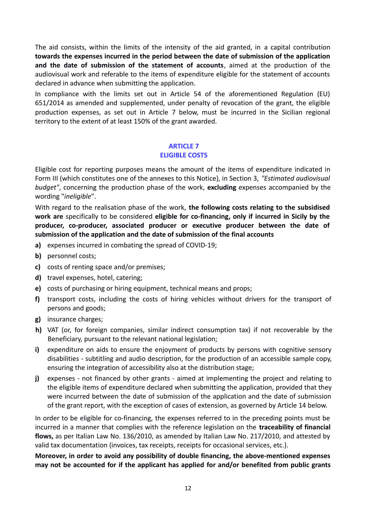The aid consists, within the limits of the intensity of the aid granted, in a capital contribution **towards the expenses incurred in the period between the date of submission of the application and the date of submission of the statement of accounts**, aimed at the production of the audiovisual work and referable to the items of expenditure eligible for the statement of accounts declared in advance when submitting the application.

In compliance with the limits set out in Article 54 of the aforementioned Regulation (EU) 651/2014 as amended and supplemented, under penalty of revocation of the grant, the eligible production expenses, as set out in Article 7 below, must be incurred in the Sicilian regional territory to the extent of at least 150% of the grant awarded.

#### **ARTICLE 7**

#### **ELIGIBLE COSTS**

Eligible cost for reporting purposes means the amount of the items of expenditure indicated in Form III (which constitutes one of the annexes to this Notice), in Section 3, *"Estimated audiovisual budget"*, concerning the production phase of the work, **excluding** expenses accompanied by the wording "*ineligible*".

With regard to the realisation phase of the work, **the following costs relating to the subsidised work are** specifically to be considered **eligible for co-financing, only if incurred in Sicily by the producer, co-producer, associated producer or executive producer between the date of submission of the application and the date of submission of the final accounts** 

- **a)** expenses incurred in combating the spread of COVID-19;
- **b)** personnel costs;
- **c)** costs of renting space and/or premises;
- **d)** travel expenses, hotel, catering;
- **e)** costs of purchasing or hiring equipment, technical means and props;
- **f)** transport costs, including the costs of hiring vehicles without drivers for the transport of persons and goods;
- **g)** insurance charges;
- **h)** VAT (or, for foreign companies, similar indirect consumption tax) if not recoverable by the Beneficiary, pursuant to the relevant national legislation;
- **i)** expenditure on aids to ensure the enjoyment of products by persons with cognitive sensory disabilities - subtitling and audio description, for the production of an accessible sample copy, ensuring the integration of accessibility also at the distribution stage;
- **j)** expenses not financed by other grants aimed at implementing the project and relating to the eligible items of expenditure declared when submitting the application, provided that they were incurred between the date of submission of the application and the date of submission of the grant report, with the exception of cases of extension, as governed by Article 14 below.

In order to be eligible for co-financing, the expenses referred to in the preceding points must be incurred in a manner that complies with the reference legislation on the **traceability of financial flows,** as per Italian Law No. 136/2010, as amended by Italian Law No. 217/2010, and attested by valid tax documentation (invoices, tax receipts, receipts for occasional services, etc.).

**Moreover, in order to avoid any possibility of double financing, the above-mentioned expenses may not be accounted for if the applicant has applied for and/or benefited from public grants**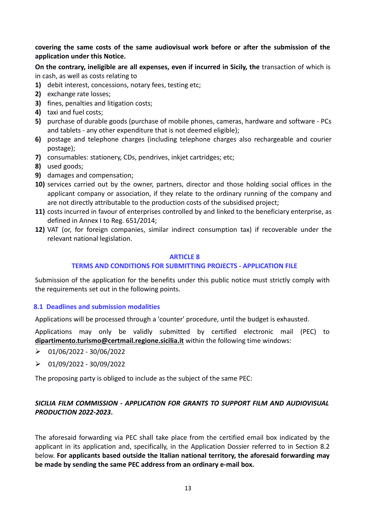## **covering the same costs of the same audiovisual work before or after the submission of the application under this Notice.**

**On the contrary, ineligible are all expenses, even if incurred in Sicily, the transaction of which is** in cash, as well as costs relating to

- **1)** debit interest, concessions, notary fees, testing etc;
- **2)** exchange rate losses;
- **3)** fines, penalties and litigation costs;
- **4)** taxi and fuel costs;
- **5)** purchase of durable goods (purchase of mobile phones, cameras, hardware and software PCs and tablets - any other expenditure that is not deemed eligible);
- **6)** postage and telephone charges (including telephone charges also rechargeable and courier postage);
- **7)** consumables: stationery, CDs, pendrives, inkjet cartridges; etc;
- **8)** used goods;
- **9)** damages and compensation;
- **10)** services carried out by the owner, partners, director and those holding social offices in the applicant company or association, if they relate to the ordinary running of the company and are not directly attributable to the production costs of the subsidised project;
- **11)** costs incurred in favour of enterprises controlled by and linked to the beneficiary enterprise, as defined in Annex I to Reg. 651/2014;
- **12)** VAT (or, for foreign companies, similar indirect consumption tax) if recoverable under the relevant national legislation.

#### **ARTICLE 8**

#### **TERMS AND CONDITIONS FOR SUBMITTING PROJECTS - APPLICATION FILE**

Submission of the application for the benefits under this public notice must strictly comply with the requirements set out in the following points.

#### <span id="page-12-0"></span>**8.1 [Deadlines and submission modalities](#page-12-0)**

Applications will be processed through a 'counter' procedure, until the budget is exhausted.

Applications may only be validly submitted by certified electronic mail (PEC) to **[dipartimento.turismo@certmail.regione.sicilia.it](mailto:dipartimento.turismo@certmail.regione.sicilia.it)** within the following time windows:

- $\geq 01/06/2022 30/06/2022$
- $\geq 01/09/2022 30/09/2022$

The proposing party is obliged to include as the subject of the same PEC:

## *SICILIA FILM COMMISSION - APPLICATION FOR GRANTS TO SUPPORT FILM AND AUDIOVISUAL PRODUCTION 2022-2023***.**

The aforesaid forwarding via PEC shall take place from the certified email box indicated by the applicant in its application and, specifically, in the Application Dossier referred to in Section 8.2 below. **For applicants based outside the Italian national territory, the aforesaid forwarding may be made by sending the same PEC address from an ordinary e-mail box.**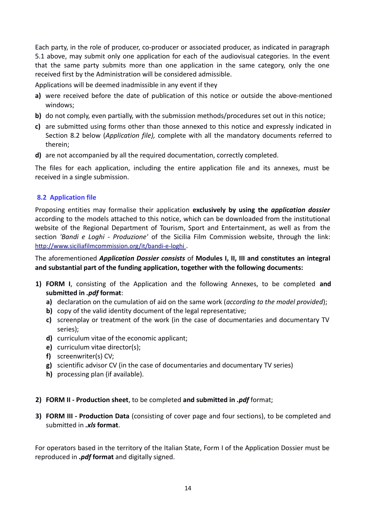Each party, in the role of producer, co-producer or associated producer, as indicated in paragraph 5.1 above, may submit only one application for each of the audiovisual categories. In the event that the same party submits more than one application in the same category, only the one received first by the Administration will be considered admissible.

Applications will be deemed inadmissible in any event if they

- **a)** were received before the date of publication of this notice or outside the above-mentioned windows;
- **b)** do not comply, even partially, with the submission methods/procedures set out in this notice;
- **c)** are submitted using forms other than those annexed to this notice and expressly indicated in Section 8.2 below (*Application file),* complete with all the mandatory documents referred to therein;
- **d)** are not accompanied by all the required documentation, correctly completed.

The files for each application, including the entire application file and its annexes, must be received in a single submission.

## <span id="page-13-0"></span>**8.2 Application file**

Proposing entities may formalise their application **exclusively by using the** *application dossier* according to the models attached to this notice, which can be downloaded from the institutional website of the Regional Department of Tourism, Sport and Entertainment, as well as from the section *'Bandi e Loghi - Produzione'* of the Sicilia Film Commission website, through the link:  [http:](http://www.siciliafilmcommission.org/)[//www.siciliafilmcommission.org/it/bandi-e-loghi](http://www.siciliafilmcommission.org/it/bandi-e-loghi) .

The aforementioned *Application Dossier consists* of **Modules I, II, III and constitutes an integral and substantial part of the funding application, together with the following documents:**

- **1) FORM I**, consisting of the Application and the following Annexes, to be completed **and submitted in** *.pdf* **format**:
	- **a)** declaration on the cumulation of aid on the same work (*according to the model provided*);
	- **b)** copy of the valid identity document of the legal representative;
	- **c)** screenplay or treatment of the work (in the case of documentaries and documentary TV series);
	- **d)** curriculum vitae of the economic applicant;
	- **e)** curriculum vitae director(s);
	- **f)** screenwriter(s) CV;
	- **g)** scientific advisor CV (in the case of documentaries and documentary TV series)
	- **h)** processing plan (if available).

#### **2) FORM II - Production sheet**, to be completed **and submitted in** *.pdf* format;

**3) FORM III - Production Data** (consisting of cover page and four sections), to be completed and submitted in *.xls* **format**.

For operators based in the territory of the Italian State, Form I of the Application Dossier must be reproduced in *.pdf* **format** and digitally signed.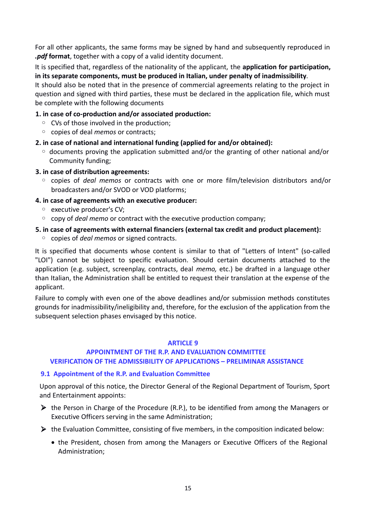For all other applicants, the same forms may be signed by hand and subsequently reproduced in *.pdf* **format**, together with a copy of a valid identity document.

It is specified that, regardless of the nationality of the applicant, the **application for participation, in its separate components, must be produced in Italian, under penalty of inadmissibility**.

It should also be noted that in the presence of commercial agreements relating to the project in question and signed with third parties, these must be declared in the application file, which must be complete with the following documents

#### **1. in case of co-production and/or associated production:**

- CVs of those involved in the production;
- copies of deal *memos* or contracts;

#### **2. in case of national and international funding (applied for and/or obtained):**

- documents proving the application submitted and/or the granting of other national and/or Community funding;
- **3. in case of distribution agreements:**
	- copies of *deal memos* or contracts with one or more film/television distributors and/or broadcasters and/or SVOD or VOD platforms;

#### **4. in case of agreements with an executive producer:**

- executive producer's CV;
- copy of *deal memo* or contract with the executive production company;

#### **5. in case of agreements with external financiers (external tax credit and product placement):**

◦ copies of *deal memos* or signed contracts.

It is specified that documents whose content is similar to that of "Letters of Intent" (so-called "LOI") cannot be subject to specific evaluation. Should certain documents attached to the application (e.g. subject, screenplay, contracts, deal *memo,* etc.) be drafted in a language other than Italian, the Administration shall be entitled to request their translation at the expense of the applicant.

Failure to comply with even one of the above deadlines and/or submission methods constitutes grounds for inadmissibility/ineligibility and, therefore, for the exclusion of the application from the subsequent selection phases envisaged by this notice.

#### **ARTICLE 9**

#### **APPOINTMENT OF THE R.P. AND EVALUATION COMMITTEE VERIFICATION OF THE ADMISSIBILITY OF APPLICATIONS – PRELIMINAR ASSISTANCE**

#### <span id="page-14-0"></span>**9.1 Appointment of the R.P. and Evaluation Committee**

Upon approval of this notice, the Director General of the Regional Department of Tourism, Sport and Entertainment appoints:

- $\triangleright$  the Person in Charge of the Procedure (R.P.), to be identified from among the Managers or Executive Officers serving in the same Administration;
- $\triangleright$  the Evaluation Committee, consisting of five members, in the composition indicated below:
	- the President, chosen from among the Managers or Executive Officers of the Regional Administration;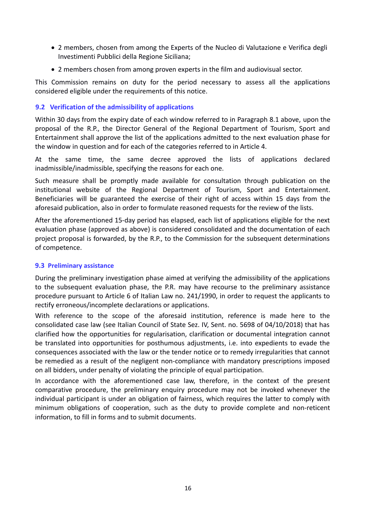- 2 members, chosen from among the Experts of the Nucleo di Valutazione e Verifica degli Investimenti Pubblici della Regione Siciliana;
- 2 members chosen from among proven experts in the film and audiovisual sector.

This Commission remains on duty for the period necessary to assess all the applications considered eligible under the requirements of this notice.

#### <span id="page-15-0"></span>**9.2 Verification of the admissibility of applications**

Within 30 days from the expiry date of each window referred to in Paragraph 8.1 above, upon the proposal of the R.P., the Director General of the Regional Department of Tourism, Sport and Entertainment shall approve the list of the applications admitted to the next evaluation phase for the window in question and for each of the categories referred to in Article 4.

At the same time, the same decree approved the lists of applications declared inadmissible/inadmissible, specifying the reasons for each one.

Such measure shall be promptly made available for consultation through publication on the institutional website of the Regional Department of Tourism, Sport and Entertainment. Beneficiaries will be guaranteed the exercise of their right of access within 15 days from the aforesaid publication, also in order to formulate reasoned requests for the review of the lists.

After the aforementioned 15-day period has elapsed, each list of applications eligible for the next evaluation phase (approved as above) is considered consolidated and the documentation of each project proposal is forwarded, by the R.P., to the Commission for the subsequent determinations of competence.

#### **9.3 Preliminary assistance**

During the preliminary investigation phase aimed at verifying the admissibility of the applications to the subsequent evaluation phase, the P.R. may have recourse to the preliminary assistance procedure pursuant to Article 6 of Italian Law no. 241/1990, in order to request the applicants to rectify erroneous/incomplete declarations or applications.

With reference to the scope of the aforesaid institution, reference is made here to the consolidated case law (see Italian Council of State Sez. IV, Sent. no. 5698 of 04/10/2018) that has clarified how the opportunities for regularisation, clarification or documental integration cannot be translated into opportunities for posthumous adjustments, i.e. into expedients to evade the consequences associated with the law or the tender notice or to remedy irregularities that cannot be remedied as a result of the negligent non-compliance with mandatory prescriptions imposed on all bidders, under penalty of violating the principle of equal participation.

In accordance with the aforementioned case law, therefore, in the context of the present comparative procedure, the preliminary enquiry procedure may not be invoked whenever the individual participant is under an obligation of fairness, which requires the latter to comply with minimum obligations of cooperation, such as the duty to provide complete and non-reticent information, to fill in forms and to submit documents.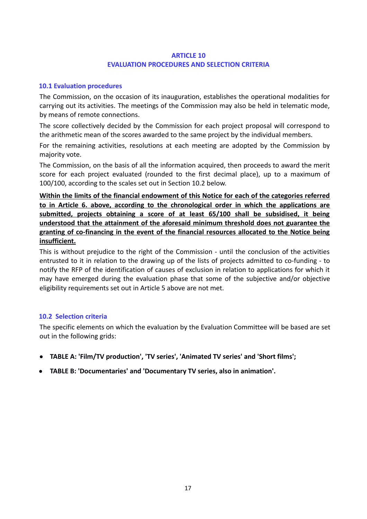#### **ARTICLE 10 EVALUATION PROCEDURES AND SELECTION CRITERIA**

#### <span id="page-16-1"></span>**10.1 Evaluation procedures**

The Commission, on the occasion of its inauguration, establishes the operational modalities for carrying out its activities. The meetings of the Commission may also be held in telematic mode, by means of remote connections.

The score collectively decided by the Commission for each project proposal will correspond to the arithmetic mean of the scores awarded to the same project by the individual members.

For the remaining activities, resolutions at each meeting are adopted by the Commission by majority vote.

The Commission, on the basis of all the information acquired, then proceeds to award the merit score for each project evaluated (rounded to the first decimal place), up to a maximum of 100/100, according to the scales set out in Section 10.2 below.

**Within the limits of the financial endowment of this Notice for each of the categories referred to in Article 6. above, according to the chronological order in which the applications are submitted, projects obtaining a score of at least 65/100 shall be subsidised, it being understood that the attainment of the aforesaid minimum threshold does not guarantee the granting of co-financing in the event of the financial resources allocated to the Notice being insufficient.**

This is without prejudice to the right of the Commission - until the conclusion of the activities entrusted to it in relation to the drawing up of the lists of projects admitted to co-funding - to notify the RFP of the identification of causes of exclusion in relation to applications for which it may have emerged during the evaluation phase that some of the subjective and/or objective eligibility requirements set out in Article 5 above are not met.

#### <span id="page-16-0"></span>**10.2 Selection criteria**

The specific elements on which the evaluation by the Evaluation Committee will be based are set out in the following grids:

- **TABLE A: 'Film/TV production', 'TV series', 'Animated TV series' and 'Short films';**
- **TABLE B: 'Documentaries' and 'Documentary TV series, also in animation'.**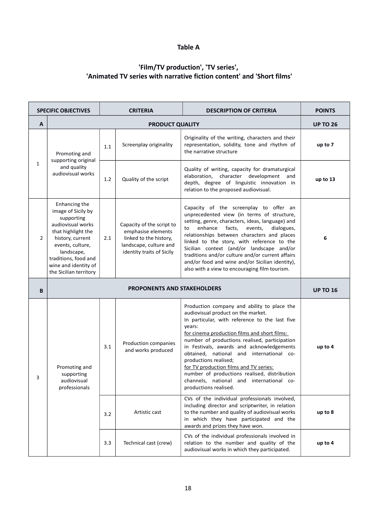#### **Table A**

## **'Film/TV production', 'TV series', 'Animated TV series with narrative fiction content' and 'Short films'**

| <b>SPECIFIC OBJECTIVES</b> |                                                                                                                                                                                                                              | <b>CRITERIA</b> |                                                                                                                                  | <b>DESCRIPTION OF CRITERIA</b>                                                                                                                                                                                                                                                                                                                                                                                                                                                                                                  | <b>POINTS</b>   |
|----------------------------|------------------------------------------------------------------------------------------------------------------------------------------------------------------------------------------------------------------------------|-----------------|----------------------------------------------------------------------------------------------------------------------------------|---------------------------------------------------------------------------------------------------------------------------------------------------------------------------------------------------------------------------------------------------------------------------------------------------------------------------------------------------------------------------------------------------------------------------------------------------------------------------------------------------------------------------------|-----------------|
| A                          | <b>PRODUCT QUALITY</b>                                                                                                                                                                                                       |                 |                                                                                                                                  |                                                                                                                                                                                                                                                                                                                                                                                                                                                                                                                                 | <b>UP TO 26</b> |
| $\mathbf{1}$               | Promoting and<br>supporting original<br>and quality<br>audiovisual works                                                                                                                                                     | 1.1             | Screenplay originality                                                                                                           | Originality of the writing, characters and their<br>representation, solidity, tone and rhythm of<br>the narrative structure                                                                                                                                                                                                                                                                                                                                                                                                     | up to 7         |
|                            |                                                                                                                                                                                                                              | 1.2             | Quality of the script                                                                                                            | Quality of writing, capacity for dramaturgical<br>elaboration, character development<br>and<br>depth, degree of linguistic innovation in<br>relation to the proposed audiovisual.                                                                                                                                                                                                                                                                                                                                               | up to 13        |
| 2                          | Enhancing the<br>image of Sicily by<br>supporting<br>audiovisual works<br>that highlight the<br>history, current<br>events, culture,<br>landscape,<br>traditions, food and<br>wine and identity of<br>the Sicilian territory | 2.1             | Capacity of the script to<br>emphasise elements<br>linked to the history,<br>landscape, culture and<br>identity traits of Sicily | Capacity of the screenplay to offer an<br>unprecedented view (in terms of structure,<br>setting, genre, characters, ideas, language) and<br>enhance<br>facts,<br>events,<br>dialogues,<br>to<br>relationships between characters and places<br>linked to the story, with reference to the<br>Sicilian context (and/or landscape and/or<br>traditions and/or culture and/or current affairs<br>and/or food and wine and/or Sicilian identity),<br>also with a view to encouraging film tourism.                                  | 6               |
| B                          |                                                                                                                                                                                                                              | <b>UP TO 16</b> |                                                                                                                                  |                                                                                                                                                                                                                                                                                                                                                                                                                                                                                                                                 |                 |
| 3                          | Promoting and<br>supporting<br>audiovisual<br>professionals                                                                                                                                                                  | 3.1             | Production companies<br>and works produced                                                                                       | Production company and ability to place the<br>audiovisual product on the market.<br>In particular, with reference to the last five<br>years:<br>for cinema production films and short films:<br>number of productions realised, participation<br>in Festivals, awards and acknowledgements<br>obtained, national and international co-<br>productions realised;<br>for TV production films and TV series:<br>number of productions realised, distribution<br>channels, national and international co-<br>productions realised. | up to 4         |
|                            |                                                                                                                                                                                                                              | 3.2             | Artistic cast                                                                                                                    | CVs of the individual professionals involved,<br>including director and scriptwriter, in relation<br>to the number and quality of audiovisual works<br>in which they have participated and the<br>awards and prizes they have won.                                                                                                                                                                                                                                                                                              | up to 8         |
|                            |                                                                                                                                                                                                                              | 3.3             | Technical cast (crew)                                                                                                            | CVs of the individual professionals involved in<br>relation to the number and quality of the<br>audiovisual works in which they participated.                                                                                                                                                                                                                                                                                                                                                                                   | up to 4         |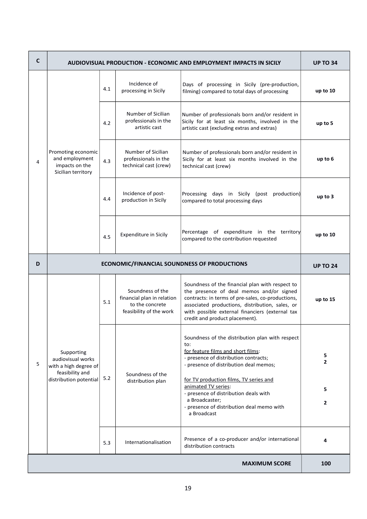| C | AUDIOVISUAL PRODUCTION - ECONOMIC AND EMPLOYMENT IMPACTS IN SICILY                                    | <b>UP TO 34</b> |                                                                                              |                                                                                                                                                                                                                                                                                           |                          |  |  |  |
|---|-------------------------------------------------------------------------------------------------------|-----------------|----------------------------------------------------------------------------------------------|-------------------------------------------------------------------------------------------------------------------------------------------------------------------------------------------------------------------------------------------------------------------------------------------|--------------------------|--|--|--|
| 4 | Promoting economic<br>and employment<br>impacts on the<br>Sicilian territory                          | 4.1             | Incidence of<br>processing in Sicily                                                         | Days of processing in Sicily (pre-production,<br>filming) compared to total days of processing                                                                                                                                                                                            |                          |  |  |  |
|   |                                                                                                       | 4.2             | Number of Sicilian<br>professionals in the<br>artistic cast                                  | Number of professionals born and/or resident in<br>Sicily for at least six months, involved in the<br>artistic cast (excluding extras and extras)                                                                                                                                         | up to 5                  |  |  |  |
|   |                                                                                                       | 4.3             | Number of Sicilian<br>professionals in the<br>technical cast (crew)                          | Number of professionals born and/or resident in<br>Sicily for at least six months involved in the<br>technical cast (crew)                                                                                                                                                                | up to 6                  |  |  |  |
|   |                                                                                                       | 4.4             | Incidence of post-<br>production in Sicily                                                   | Processing days in Sicily (post<br>production)<br>compared to total processing days                                                                                                                                                                                                       | up to $3$                |  |  |  |
|   |                                                                                                       | 4.5             | <b>Expenditure in Sicily</b>                                                                 | Percentage of expenditure in the territory<br>compared to the contribution requested                                                                                                                                                                                                      | up to 10                 |  |  |  |
| D |                                                                                                       | <b>UP TO 24</b> |                                                                                              |                                                                                                                                                                                                                                                                                           |                          |  |  |  |
| 5 | Supporting<br>audiovisual works<br>with a high degree of<br>feasibility and<br>distribution potential | 5.1             | Soundness of the<br>financial plan in relation<br>to the concrete<br>feasibility of the work | Soundness of the financial plan with respect to<br>the presence of deal memos and/or signed<br>contracts: in terms of pre-sales, co-productions,<br>associated productions, distribution, sales, or<br>with possible external financiers (external tax<br>credit and product placement).  | up to 15                 |  |  |  |
|   |                                                                                                       | 5.2             | Soundness of the<br>distribution plan                                                        | Soundness of the distribution plan with respect<br>to:<br>for feature films and short films:<br>- presence of distribution contracts;<br>- presence of distribution deal memos;<br>for TV production films, TV series and<br>animated TV series:<br>- presence of distribution deals with | 5.<br>$\mathbf{2}$<br>5. |  |  |  |
|   |                                                                                                       |                 |                                                                                              | a Broadcaster;<br>- presence of distribution deal memo with<br>a Broadcast                                                                                                                                                                                                                | 2                        |  |  |  |
|   |                                                                                                       | 5.3             | Internationalisation                                                                         | Presence of a co-producer and/or international<br>distribution contracts                                                                                                                                                                                                                  | 4                        |  |  |  |
|   | <b>MAXIMUM SCORE</b><br>100                                                                           |                 |                                                                                              |                                                                                                                                                                                                                                                                                           |                          |  |  |  |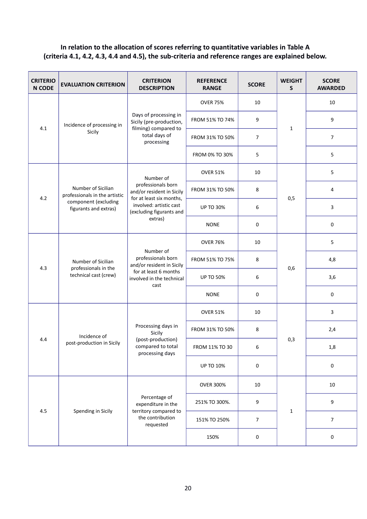## **In relation to the allocation of scores referring to quantitative variables in Table A (criteria 4.1, 4.2, 4.3, 4.4 and 4.5), the sub-criteria and reference ranges are explained below.**

| <b>CRITERIO</b><br><b>N CODE</b> | <b>EVALUATION CRITERION</b>                                         | <b>CRITERION</b><br><b>DESCRIPTION</b>                                                                                                        | <b>REFERENCE</b><br><b>RANGE</b> | <b>SCORE</b>   | <b>WEIGHT</b><br>S | <b>SCORE</b><br><b>AWARDED</b> |
|----------------------------------|---------------------------------------------------------------------|-----------------------------------------------------------------------------------------------------------------------------------------------|----------------------------------|----------------|--------------------|--------------------------------|
| 4.1                              | Incidence of processing in<br>Sicily                                | Days of processing in<br>Sicily (pre-production,<br>filming) compared to<br>total days of<br>processing                                       | <b>OVER 75%</b>                  | 10             |                    | 10                             |
|                                  |                                                                     |                                                                                                                                               | FROM 51% TO 74%                  | 9              | $\mathbf{1}$       | 9                              |
|                                  |                                                                     |                                                                                                                                               | FROM 31% TO 50%                  | $\overline{7}$ |                    | $\overline{7}$                 |
|                                  |                                                                     |                                                                                                                                               | FROM 0% TO 30%                   | 5              |                    | 5                              |
|                                  |                                                                     | Number of                                                                                                                                     | <b>OVER 51%</b>                  | 10             |                    | 5                              |
| 4.2                              | Number of Sicilian<br>professionals in the artistic                 | professionals born<br>and/or resident in Sicily<br>for at least six months,<br>involved: artistic cast<br>(excluding figurants and<br>extras) | FROM 31% TO 50%                  | 8              | 0,5                | 4                              |
|                                  | component (excluding<br>figurants and extras)                       |                                                                                                                                               | <b>UP TO 30%</b>                 | 6              |                    | $\overline{3}$                 |
|                                  |                                                                     |                                                                                                                                               | <b>NONE</b>                      | 0              |                    | 0                              |
|                                  | Number of Sicilian<br>professionals in the<br>technical cast (crew) | Number of<br>professionals born<br>and/or resident in Sicily<br>for at least 6 months<br>involved in the technical<br>cast                    | <b>OVER 76%</b>                  | 10             | 0,6                | 5                              |
| 4.3                              |                                                                     |                                                                                                                                               | FROM 51% TO 75%                  | 8              |                    | 4,8                            |
|                                  |                                                                     |                                                                                                                                               | <b>UP TO 50%</b>                 | 6              |                    | 3,6                            |
|                                  |                                                                     |                                                                                                                                               | <b>NONE</b>                      | 0              |                    | 0                              |
|                                  | Incidence of<br>post-production in Sicily                           | Processing days in<br>Sicily<br>(post-production)<br>compared to total<br>processing days                                                     | <b>OVER 51%</b>                  | 10             | 0,3                | 3                              |
|                                  |                                                                     |                                                                                                                                               | FROM 31% TO 50%                  | 8              |                    | 2,4                            |
| 4.4                              |                                                                     |                                                                                                                                               | FROM 11% TO 30                   | 6              |                    | 1,8                            |
|                                  |                                                                     |                                                                                                                                               | <b>UP TO 10%</b>                 | 0              |                    | $\pmb{0}$                      |
|                                  |                                                                     | Percentage of<br>expenditure in the<br>territory compared to<br>the contribution<br>requested                                                 | <b>OVER 300%</b>                 | 10             | $\mathbf{1}$       | 10                             |
| 4.5                              | Spending in Sicily                                                  |                                                                                                                                               | 251% TO 300%.                    | 9              |                    | 9                              |
|                                  |                                                                     |                                                                                                                                               | 151% TO 250%                     | $\overline{7}$ |                    | $\overline{7}$                 |
|                                  |                                                                     |                                                                                                                                               | 150%                             | $\pmb{0}$      |                    | $\pmb{0}$                      |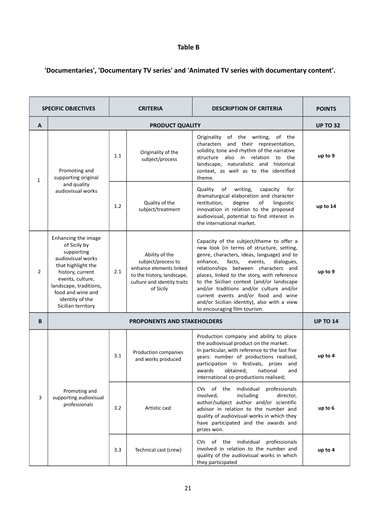## **Table B**

## **'Documentaries', 'Documentary TV series' and 'Animated TV series with documentary content'.**

| <b>SPECIFIC OBJECTIVES</b> |                                                                                                                                                                                                                              | <b>CRITERIA</b>                                                                                                                                                                                                                                                                                                                                                                                                                                                                                                                                                                                                                             |                                            | <b>DESCRIPTION OF CRITERIA</b>                                                                                                                                                                                                                                                                                 | <b>POINTS</b> |  |
|----------------------------|------------------------------------------------------------------------------------------------------------------------------------------------------------------------------------------------------------------------------|---------------------------------------------------------------------------------------------------------------------------------------------------------------------------------------------------------------------------------------------------------------------------------------------------------------------------------------------------------------------------------------------------------------------------------------------------------------------------------------------------------------------------------------------------------------------------------------------------------------------------------------------|--------------------------------------------|----------------------------------------------------------------------------------------------------------------------------------------------------------------------------------------------------------------------------------------------------------------------------------------------------------------|---------------|--|
| A                          |                                                                                                                                                                                                                              |                                                                                                                                                                                                                                                                                                                                                                                                                                                                                                                                                                                                                                             | <b>UP TO 32</b>                            |                                                                                                                                                                                                                                                                                                                |               |  |
| $\mathbf{1}$               | Promoting and<br>supporting original<br>and quality<br>audiovisual works                                                                                                                                                     | 1.1                                                                                                                                                                                                                                                                                                                                                                                                                                                                                                                                                                                                                                         | Originality of the<br>subject/process      | Originality of the writing,<br>of the<br>characters and their representation,<br>solidity, tone and rhythm of the narrative<br>structure also in relation<br>to the<br>landscape, naturalistic and<br>historical<br>context, as well as to the identified<br>theme.                                            | up to 9       |  |
|                            |                                                                                                                                                                                                                              | 1.2                                                                                                                                                                                                                                                                                                                                                                                                                                                                                                                                                                                                                                         | Quality of the<br>subject/treatment        | Quality<br>writing,<br>for<br>of<br>capacity<br>dramaturgical elaboration and character<br>restitution,<br>degree<br>of<br>linguistic<br>innovation in relation to the proposed<br>audiovisual, potential to find interest in<br>the international market.                                                     | up to 14      |  |
| $\overline{2}$             | Enhancing the image<br>of Sicily by<br>supporting<br>audiovisual works<br>that highlight the<br>history, current<br>events, culture,<br>landscape, traditions,<br>food and wine and<br>identity of the<br>Sicilian territory | Capacity of the subject/theme to offer a<br>new look (in terms of structure, setting,<br>Ability of the<br>genre, characters, ideas, language) and to<br>subject/process to<br>enhance,<br>facts,<br>events,<br>dialogues,<br>enhance elements linked<br>relationships between characters and<br>2.1<br>to the history, landscape,<br>places, linked to the story, with reference<br>culture and identity traits<br>to the Sicilian context (and/or landscape<br>and/or traditions and/or culture and/or<br>of Sicily<br>current events and/or food and wine<br>and/or Sicilian identity), also with a view<br>to encouraging film tourism. |                                            | up to 9                                                                                                                                                                                                                                                                                                        |               |  |
| B                          |                                                                                                                                                                                                                              |                                                                                                                                                                                                                                                                                                                                                                                                                                                                                                                                                                                                                                             | <b>PROPONENTS AND STAKEHOLDERS</b>         |                                                                                                                                                                                                                                                                                                                |               |  |
| 3                          | Promoting and<br>supporting audiovisual<br>professionals                                                                                                                                                                     | 3.1                                                                                                                                                                                                                                                                                                                                                                                                                                                                                                                                                                                                                                         | Production companies<br>and works produced | Production company and ability to place<br>the audiovisual product on the market.<br>In particular, with reference to the last five<br>years: number of productions realised,<br>participation in festivals, prizes<br>and<br>awards<br>obtained,<br>national<br>and<br>international co-productions realised; | up to 4       |  |
|                            |                                                                                                                                                                                                                              | 3.2                                                                                                                                                                                                                                                                                                                                                                                                                                                                                                                                                                                                                                         | Artistic cast                              | CVs of the individual<br>professionals<br>involved,<br>including<br>director,<br>author/subject author and/or scientific<br>advisor in relation to the number and<br>quality of audiovisual works in which they<br>have participated and the awards and<br>prizes won.                                         | up to 6       |  |
|                            |                                                                                                                                                                                                                              | 3.3                                                                                                                                                                                                                                                                                                                                                                                                                                                                                                                                                                                                                                         | Technical cast (crew)                      | CVs of the individual<br>professionals<br>involved in relation to the number and<br>quality of the audiovisual works in which<br>they participated                                                                                                                                                             | up to 4       |  |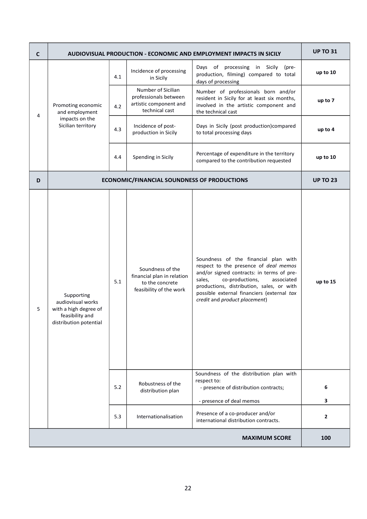| $\mathsf{C}$ | <b>AUDIOVISUAL PRODUCTION - ECONOMIC AND EMPLOYMENT IMPACTS IN SICILY</b>                             | <b>UP TO 31</b> |                                                                                              |                                                                                                                                                                                                                                                                                                   |                   |  |
|--------------|-------------------------------------------------------------------------------------------------------|-----------------|----------------------------------------------------------------------------------------------|---------------------------------------------------------------------------------------------------------------------------------------------------------------------------------------------------------------------------------------------------------------------------------------------------|-------------------|--|
| 4            | Promoting economic<br>and employment                                                                  | 4.1             | Incidence of processing<br>in Sicily                                                         | Days of processing in Sicily<br>(pre-<br>production, filming) compared to total<br>days of processing                                                                                                                                                                                             | up to 10          |  |
|              |                                                                                                       | 4.2             | Number of Sicilian<br>professionals between<br>artistic component and<br>technical cast      | Number of professionals born and/or<br>resident in Sicily for at least six months,<br>involved in the artistic component and<br>the technical cast                                                                                                                                                | up to 7           |  |
|              | impacts on the<br>Sicilian territory                                                                  | 4.3             | Incidence of post-<br>production in Sicily                                                   | Days in Sicily (post production)compared<br>to total processing days                                                                                                                                                                                                                              | up to 4           |  |
|              |                                                                                                       | 4.4             | Spending in Sicily                                                                           | Percentage of expenditure in the territory<br>compared to the contribution requested                                                                                                                                                                                                              | up to 10          |  |
| D            |                                                                                                       |                 | <b>ECONOMIC/FINANCIAL SOUNDNESS OF PRODUCTIONS</b>                                           |                                                                                                                                                                                                                                                                                                   | <b>UP TO 23</b>   |  |
| 5            | Supporting<br>audiovisual works<br>with a high degree of<br>feasibility and<br>distribution potential | 5.1             | Soundness of the<br>financial plan in relation<br>to the concrete<br>feasibility of the work | Soundness of the financial plan with<br>respect to the presence of deal memos<br>and/or signed contracts: in terms of pre-<br>sales,<br>co-productions,<br>associated<br>productions, distribution, sales, or with<br>possible external financiers (external tax<br>credit and product placement) | up to 15          |  |
|              |                                                                                                       | 5.2             | Robustness of the<br>distribution plan                                                       | Soundness of the distribution plan with<br>respect to:<br>- presence of distribution contracts;                                                                                                                                                                                                   | 6                 |  |
|              |                                                                                                       | 5.3             | Internationalisation                                                                         | - presence of deal memos<br>Presence of a co-producer and/or                                                                                                                                                                                                                                      | 3<br>$\mathbf{2}$ |  |
|              |                                                                                                       |                 |                                                                                              | international distribution contracts.                                                                                                                                                                                                                                                             |                   |  |
|              | <b>MAXIMUM SCORE</b><br>100                                                                           |                 |                                                                                              |                                                                                                                                                                                                                                                                                                   |                   |  |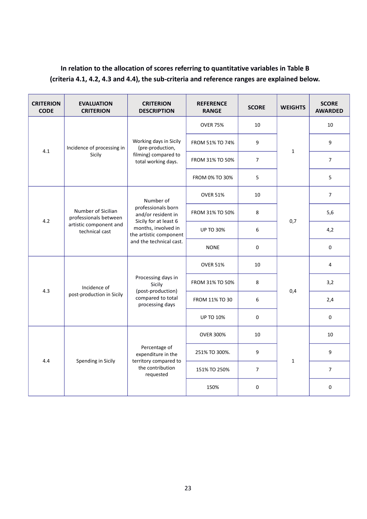## **In relation to the allocation of scores referring to quantitative variables in Table B (criteria 4.1, 4.2, 4.3 and 4.4), the sub-criteria and reference ranges are explained below.**

| <b>CRITERION</b><br><b>CODE</b> | <b>EVALUATION</b><br><b>CRITERION</b>                                                   | <b>CRITERION</b><br><b>DESCRIPTION</b>                                                                                                                     | <b>REFERENCE</b><br><b>RANGE</b> | <b>SCORE</b>   | <b>WEIGHTS</b> | <b>SCORE</b><br><b>AWARDED</b> |
|---------------------------------|-----------------------------------------------------------------------------------------|------------------------------------------------------------------------------------------------------------------------------------------------------------|----------------------------------|----------------|----------------|--------------------------------|
|                                 | Incidence of processing in<br>Sicily                                                    | Working days in Sicily<br>(pre-production,<br>filming) compared to<br>total working days.                                                                  | <b>OVER 75%</b>                  | 10             | $\mathbf{1}$   | 10                             |
|                                 |                                                                                         |                                                                                                                                                            | FROM 51% TO 74%                  | 9              |                | 9                              |
| 4.1                             |                                                                                         |                                                                                                                                                            | FROM 31% TO 50%                  | $\overline{7}$ |                | 7                              |
|                                 |                                                                                         |                                                                                                                                                            | FROM 0% TO 30%                   | 5              |                | 5                              |
|                                 |                                                                                         | Number of<br>professionals born<br>and/or resident in<br>Sicily for at least 6<br>months, involved in<br>the artistic component<br>and the technical cast. | <b>OVER 51%</b>                  | 10             |                | $\overline{7}$                 |
|                                 | Number of Sicilian<br>professionals between<br>artistic component and<br>technical cast |                                                                                                                                                            | FROM 31% TO 50%                  | 8              | 0,7            | 5,6                            |
| 4.2                             |                                                                                         |                                                                                                                                                            | <b>UP TO 30%</b>                 | 6              |                | 4,2                            |
|                                 |                                                                                         |                                                                                                                                                            | <b>NONE</b>                      | $\pmb{0}$      |                | $\mathbf 0$                    |
|                                 | Incidence of<br>post-production in Sicily                                               | Processing days in<br>Sicily<br>(post-production)<br>compared to total<br>processing days                                                                  | <b>OVER 51%</b>                  | 10             | 0,4            | 4                              |
|                                 |                                                                                         |                                                                                                                                                            | FROM 31% TO 50%                  | 8              |                | 3,2                            |
| 4.3                             |                                                                                         |                                                                                                                                                            | FROM 11% TO 30                   | 6              |                | 2,4                            |
|                                 |                                                                                         |                                                                                                                                                            | <b>UP TO 10%</b>                 | 0              |                | $\Omega$                       |
|                                 | Spending in Sicily                                                                      | Percentage of<br>expenditure in the<br>territory compared to<br>the contribution<br>requested                                                              | <b>OVER 300%</b>                 | 10             | $\mathbf{1}$   | 10                             |
|                                 |                                                                                         |                                                                                                                                                            | 251% TO 300%.                    | 9              |                | 9                              |
| 4.4                             |                                                                                         |                                                                                                                                                            | 151% TO 250%                     | $\overline{7}$ |                | 7                              |
|                                 |                                                                                         |                                                                                                                                                            | 150%                             | $\mathbf{0}$   |                | $\mathbf 0$                    |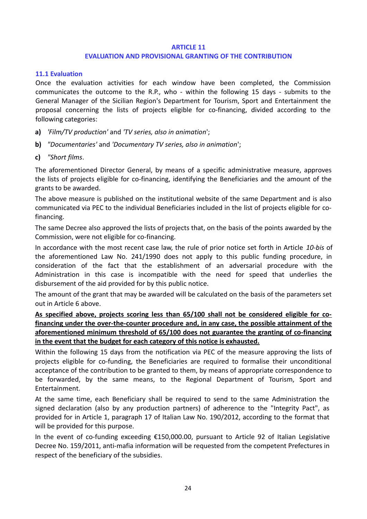#### **ARTICLE 11**

#### **EVALUATION AND PROVISIONAL GRANTING OF THE CONTRIBUTION**

#### <span id="page-23-0"></span>**11.1 Evaluation**

Once the evaluation activities for each window have been completed, the Commission communicates the outcome to the R.P., who - within the following 15 days - submits to the General Manager of the Sicilian Region's Department for Tourism, Sport and Entertainment the proposal concerning the lists of projects eligible for co-financing, divided according to the following categories:

- **a)** *'Film/TV production'* and *'TV series, also in animation*';
- **b)** *"Documentaries'* and *'Documentary TV series, also in animation*';
- **c)** *"Short films*.

The aforementioned Director General, by means of a specific administrative measure, approves the lists of projects eligible for co-financing, identifying the Beneficiaries and the amount of the grants to be awarded.

The above measure is published on the institutional website of the same Department and is also communicated via PEC to the individual Beneficiaries included in the list of projects eligible for cofinancing.

The same Decree also approved the lists of projects that, on the basis of the points awarded by the Commission, were not eligible for co-financing.

In accordance with the most recent case law, the rule of prior notice set forth in Article *10-bis* of the aforementioned Law No. 241/1990 does not apply to this public funding procedure, in consideration of the fact that the establishment of an adversarial procedure with the Administration in this case is incompatible with the need for speed that underlies the disbursement of the aid provided for by this public notice.

The amount of the grant that may be awarded will be calculated on the basis of the parameters set out in Article 6 above.

**As specified above, projects scoring less than 65/100 shall not be considered eligible for co financing under the over-the-counter procedure and, in any case, the possible attainment of the aforementioned minimum threshold of 65/100 does not guarantee the granting of co-financing in the event that the budget for each category of this notice is exhausted.**

Within the following 15 days from the notification via PEC of the measure approving the lists of projects eligible for co-funding, the Beneficiaries are required to formalise their unconditional acceptance of the contribution to be granted to them, by means of appropriate correspondence to be forwarded, by the same means, to the Regional Department of Tourism, Sport and Entertainment.

At the same time, each Beneficiary shall be required to send to the same Administration the signed declaration (also by any production partners) of adherence to the "Integrity Pact", as provided for in Article 1, paragraph 17 of Italian Law No. 190/2012, according to the format that will be provided for this purpose.

In the event of co-funding exceeding €150,000.00, pursuant to Article 92 of Italian Legislative Decree No. 159/2011, anti-mafia information will be requested from the competent Prefectures in respect of the beneficiary of the subsidies.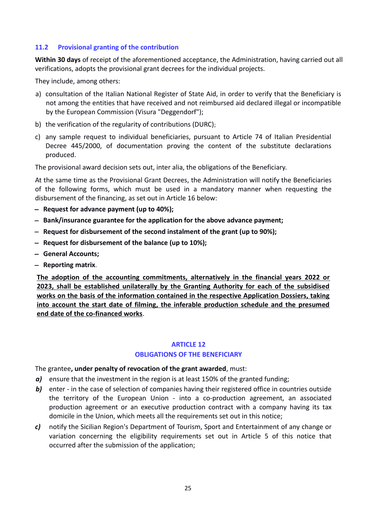#### <span id="page-24-0"></span>**11.2 Provisional granting of the contribution**

**Within 30 days** of receipt of the aforementioned acceptance, the Administration, having carried out all verifications, adopts the provisional grant decrees for the individual projects.

They include, among others:

- a) consultation of the Italian National Register of State Aid, in order to verify that the Beneficiary is not among the entities that have received and not reimbursed aid declared illegal or incompatible by the European Commission (Visura "Deggendorf");
- b) the verification of the regularity of contributions (DURC);
- c) any sample request to individual beneficiaries, pursuant to Article 74 of Italian Presidential Decree 445/2000, of documentation proving the content of the substitute declarations produced.

The provisional award decision sets out, inter alia, the obligations of the Beneficiary.

At the same time as the Provisional Grant Decrees, the Administration will notify the Beneficiaries of the following forms, which must be used in a mandatory manner when requesting the disbursement of the financing, as set out in Article 16 below:

- **Request for advance payment (up to 40%);**
- **Bank/insurance guarantee for the application for the above advance payment;**
- **Request for disbursement of the second instalment of the grant (up to 90%);**
- **Request for disbursement of the balance (up to 10%);**
- **General Accounts;**
- **Reporting matrix**.

**The adoption of the accounting commitments, alternatively in the financial years 2022 or 2023, shall be established unilaterally by the Granting Authority for each of the subsidised works on the basis of the information contained in the respective Application Dossiers, taking into account the start date of filming, the inferable production schedule and the presumed end date of the co-financed works** .

#### **ARTICLE 12**

#### **OBLIGATIONS OF THE BENEFICIARY**

The grantee**, under penalty of revocation of the grant awarded**, must:

- *a)* ensure that the investment in the region is at least 150% of the granted funding;
- **b)** enter in the case of selection of companies having their registered office in countries outside the territory of the European Union - into a co-production agreement, an associated production agreement or an executive production contract with a company having its tax domicile in the Union, which meets all the requirements set out in this notice;
- *c)* notify the Sicilian Region's Department of Tourism, Sport and Entertainment of any change or variation concerning the eligibility requirements set out in Article 5 of this notice that occurred after the submission of the application;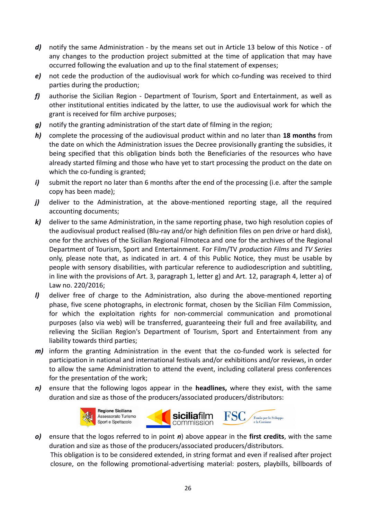- d) notify the same Administration by the means set out in Article 13 below of this Notice of any changes to the production project submitted at the time of application that may have occurred following the evaluation and up to the final statement of expenses;
- *e)* not cede the production of the audiovisual work for which co-funding was received to third parties during the production;
- *f)* authorise the Sicilian Region Department of Tourism, Sport and Entertainment, as well as other institutional entities indicated by the latter, to use the audiovisual work for which the grant is received for film archive purposes;
- *g)* notify the granting administration of the start date of filming in the region;
- *h)* complete the processing of the audiovisual product within and no later than **18 months** from the date on which the Administration issues the Decree provisionally granting the subsidies, it being specified that this obligation binds both the Beneficiaries of the resources who have already started filming and those who have yet to start processing the product on the date on which the co-funding is granted;
- *i*) submit the report no later than 6 months after the end of the processing (i.e. after the sample copy has been made);
- *j*) deliver to the Administration, at the above-mentioned reporting stage, all the required accounting documents;
- *k)* deliver to the same Administration, in the same reporting phase, two high resolution copies of the audiovisual product realised (Blu-ray and/or high definition files on pen drive or hard disk), one for the archives of the Sicilian Regional Filmoteca and one for the archives of the Regional Department of Tourism, Sport and Entertainment. For Film/TV *production Films* and *TV Series* only, please note that, as indicated in art. 4 of this Public Notice, they must be usable by people with sensory disabilities, with particular reference to audiodescription and subtitling, in line with the provisions of Art. 3, paragraph 1, letter g) and Art. 12, paragraph 4, letter a) of Law no. 220/2016;
- *l)* deliver free of charge to the Administration, also during the above-mentioned reporting phase, five scene photographs, in electronic format, chosen by the Sicilian Film Commission, for which the exploitation rights for non-commercial communication and promotional purposes (also via web) will be transferred, guaranteeing their full and free availability, and relieving the Sicilian Region's Department of Tourism, Sport and Entertainment from any liability towards third parties;
- *m)* inform the granting Administration in the event that the co-funded work is selected for participation in national and international festivals and/or exhibitions and/or reviews, in order to allow the same Administration to attend the event, including collateral press conferences for the presentation of the work;
- *n)* ensure that the following logos appear in the **headlines,** where they exist, with the same duration and size as those of the producers/associated producers/distributors:



*o)* ensure that the logos referred to in point *n*) above appear in the **first credits**, with the same duration and size as those of the producers/associated producers/distributors.

This obligation is to be considered extended, in string format and even if realised after project closure, on the following promotional-advertising material: posters, playbills, billboards of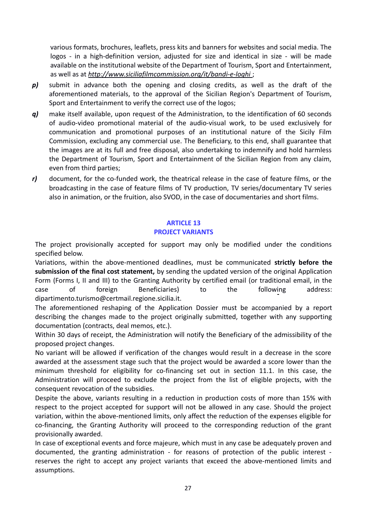various formats, brochures, leaflets, press kits and banners for websites and social media. The logos - in a high-definition version, adjusted for size and identical in size - will be made available on the institutional website of the Department of Tourism, Sport and Entertainment, as well as at *http://www.siciliafilmcommission.org/it/bandi-e-loghi* ;

- *p)* submit in advance both the opening and closing credits, as well as the draft of the aforementioned materials, to the approval of the Sicilian Region's Department of Tourism, Sport and Entertainment to verify the correct use of the logos;
- *q)* make itself available, upon request of the Administration, to the identification of 60 seconds of audio-video promotional material of the audio-visual work, to be used exclusively for communication and promotional purposes of an institutional nature of the Sicily Film Commission, excluding any commercial use. The Beneficiary, to this end, shall guarantee that the images are at its full and free disposal, also undertaking to indemnify and hold harmless the Department of Tourism, Sport and Entertainment of the Sicilian Region from any claim, even from third parties;
- *r)* document, for the co-funded work, the theatrical release in the case of feature films, or the broadcasting in the case of feature films of TV production, TV series/documentary TV series also in animation, or the fruition, also SVOD, in the case of documentaries and short films.

## **ARTICLE 13**

## **PROJECT VARIANTS**

The project provisionally accepted for support may only be modified under the conditions specified below.

Variations, within the above-mentioned deadlines, must be communicated **strictly before the submission of the final cost statement,** by sending the updated version of the original Application Form (Forms I, II and III) to the Granting Authority by certified email (or traditional email, in the case of foreign Beneficiaries) to the following address: dipartimento.turismo@certmail.regione.sicilia.it.

The aforementioned reshaping of the Application Dossier must be accompanied by a report describing the changes made to the project originally submitted, together with any supporting documentation (contracts, deal memos, etc.).

Within 30 days of receipt, the Administration will notify the Beneficiary of the admissibility of the proposed project changes.

No variant will be allowed if verification of the changes would result in a decrease in the score awarded at the assessment stage such that the project would be awarded a score lower than the minimum threshold for eligibility for co-financing set out in section 11.1. In this case, the Administration will proceed to exclude the project from the list of eligible projects, with the consequent revocation of the subsidies.

Despite the above, variants resulting in a reduction in production costs of more than 15% with respect to the project accepted for support will not be allowed in any case. Should the project variation, within the above-mentioned limits, only affect the reduction of the expenses eligible for co-financing, the Granting Authority will proceed to the corresponding reduction of the grant provisionally awarded.

In case of exceptional events and force majeure, which must in any case be adequately proven and documented, the granting administration - for reasons of protection of the public interest reserves the right to accept any project variants that exceed the above-mentioned limits and assumptions.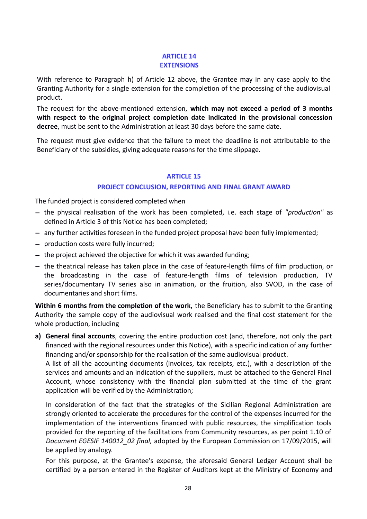#### **ARTICLE 14 EXTENSIONS**

With reference to Paragraph h) of Article 12 above, the Grantee may in any case apply to the Granting Authority for a single extension for the completion of the processing of the audiovisual product.

The request for the above-mentioned extension, **which may not exceed a period of 3 months with respect to the original project completion date indicated in the provisional concession decree**, must be sent to the Administration at least 30 days before the same date.

The request must give evidence that the failure to meet the deadline is not attributable to the Beneficiary of the subsidies, giving adequate reasons for the time slippage.

#### **ARTICLE 15**

#### **PROJECT CONCLUSION, REPORTING AND FINAL GRANT AWARD**

The funded project is considered completed when

- the physical realisation of the work has been completed, i.e. each stage of *"production"* as defined in Article 3 of this Notice has been completed;
- any further activities foreseen in the funded project proposal have been fully implemented;
- production costs were fully incurred;
- $-$  the project achieved the objective for which it was awarded funding;
- the theatrical release has taken place in the case of feature-length films of film production, or the broadcasting in the case of feature-length films of television production, TV series/documentary TV series also in animation, or the fruition, also SVOD, in the case of documentaries and short films.

**Within 6 months from the completion of the work,** the Beneficiary has to submit to the Granting Authority the sample copy of the audiovisual work realised and the final cost statement for the whole production, including

**a) General final accounts**, covering the entire production cost (and, therefore, not only the part financed with the regional resources under this Notice), with a specific indication of any further financing and/or sponsorship for the realisation of the same audiovisual product.

A list of all the accounting documents (invoices, tax receipts, etc.), with a description of the services and amounts and an indication of the suppliers, must be attached to the General Final Account, whose consistency with the financial plan submitted at the time of the grant application will be verified by the Administration;

In consideration of the fact that the strategies of the Sicilian Regional Administration are strongly oriented to accelerate the procedures for the control of the expenses incurred for the implementation of the interventions financed with public resources, the simplification tools provided for the reporting of the facilitations from Community resources, as per point 1.10 of *Document EGESIF 140012\_02 final,* adopted by the European Commission on 17/09/2015, will be applied by analogy.

For this purpose, at the Grantee's expense, the aforesaid General Ledger Account shall be certified by a person entered in the Register of Auditors kept at the Ministry of Economy and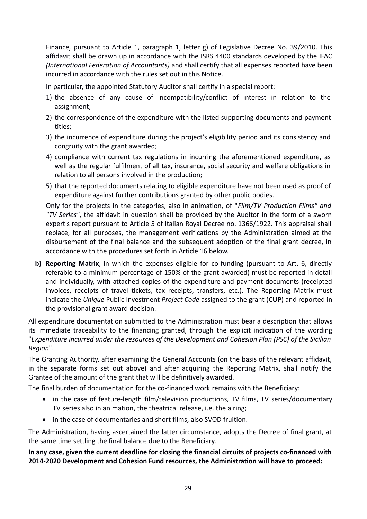Finance, pursuant to Article 1, paragraph 1, letter g) of Legislative Decree No. 39/2010. This affidavit shall be drawn up in accordance with the ISRS 4400 standards developed by the IFAC *(International Federation of Accountants)* and shall certify that all expenses reported have been incurred in accordance with the rules set out in this Notice.

In particular, the appointed Statutory Auditor shall certify in a special report:

- 1) the absence of any cause of incompatibility/conflict of interest in relation to the assignment;
- 2) the correspondence of the expenditure with the listed supporting documents and payment titles;
- 3) the incurrence of expenditure during the project's eligibility period and its consistency and congruity with the grant awarded;
- 4) compliance with current tax regulations in incurring the aforementioned expenditure, as well as the regular fulfilment of all tax, insurance, social security and welfare obligations in relation to all persons involved in the production;
- 5) that the reported documents relating to eligible expenditure have not been used as proof of expenditure against further contributions granted by other public bodies.

Only for the projects in the categories, also in animation, of "*Film/TV Production Films" and "TV Series"*, the affidavit in question shall be provided by the Auditor in the form of a sworn expert's report pursuant to Article 5 of Italian Royal Decree no. 1366/1922. This appraisal shall replace, for all purposes, the management verifications by the Administration aimed at the disbursement of the final balance and the subsequent adoption of the final grant decree, in accordance with the procedures set forth in Article 16 below.

**b) Reporting Matrix**, in which the expenses eligible for co-funding (pursuant to Art. 6, directly referable to a minimum percentage of 150% of the grant awarded) must be reported in detail and individually, with attached copies of the expenditure and payment documents (receipted invoices, receipts of travel tickets, tax receipts, transfers, etc.). The Reporting Matrix must indicate the *Unique* Public Investment *Project Code* assigned to the grant (**CUP**) and reported in the provisional grant award decision.

All expenditure documentation submitted to the Administration must bear a description that allows its immediate traceability to the financing granted, through the explicit indication of the wording "*Expenditure incurred under the resources of the Development and Cohesion Plan (PSC) of the Sicilian Region*".

The Granting Authority, after examining the General Accounts (on the basis of the relevant affidavit, in the separate forms set out above) and after acquiring the Reporting Matrix, shall notify the Grantee of the amount of the grant that will be definitively awarded.

The final burden of documentation for the co-financed work remains with the Beneficiary:

- in the case of feature-length film/television productions, TV films, TV series/documentary TV series also in animation, the theatrical release, i.e. the airing;
- in the case of documentaries and short films, also SVOD fruition.

The Administration, having ascertained the latter circumstance, adopts the Decree of final grant, at the same time settling the final balance due to the Beneficiary.

**In any case, given the current deadline for closing the financial circuits of projects co-financed with 2014-2020 Development and Cohesion Fund resources, the Administration will have to proceed:**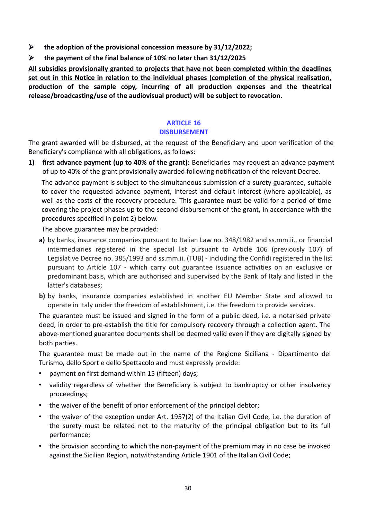- **the adoption of the provisional concession measure by 31/12/2022;**
- **the payment of the final balance of 10% no later than 31/12/2025**

**All subsidies provisionally granted to projects that have not been completed within the deadlines set out in this Notice in relation to the individual phases (completion of the physical realisation, production of the sample copy, incurring of all production expenses and the theatrical release/broadcasting/use of the audiovisual product) will be subject to revocation.**

## **ARTICLE 16 DISBURSEMENT**

The grant awarded will be disbursed, at the request of the Beneficiary and upon verification of the Beneficiary's compliance with all obligations, as follows:

**1) first advance payment (up to 40% of the grant):** Beneficiaries may request an advance payment of up to 40% of the grant provisionally awarded following notification of the relevant Decree.

The advance payment is subject to the simultaneous submission of a surety guarantee, suitable to cover the requested advance payment, interest and default interest (where applicable), as well as the costs of the recovery procedure. This guarantee must be valid for a period of time covering the project phases up to the second disbursement of the grant, in accordance with the procedures specified in point 2) below.

The above guarantee may be provided:

- **a)** by banks, insurance companies pursuant to Italian Law no. 348/1982 and ss.mm.ii., or financial intermediaries registered in the special list pursuant to Article 106 (previously 107) of Legislative Decree no. 385/1993 and ss.mm.ii. (TUB) - including the Confidi registered in the list pursuant to Article 107 - which carry out guarantee issuance activities on an exclusive or predominant basis, which are authorised and supervised by the Bank of Italy and listed in the latter's databases;
- **b)** by banks, insurance companies established in another EU Member State and allowed to operate in Italy under the freedom of establishment, i.e. the freedom to provide services.

The guarantee must be issued and signed in the form of a public deed, i.e. a notarised private deed, in order to pre-establish the title for compulsory recovery through a collection agent. The above-mentioned guarantee documents shall be deemed valid even if they are digitally signed by both parties.

The guarantee must be made out in the name of the Regione Siciliana - Dipartimento del Turismo, dello Sport e dello Spettacolo and must expressly provide:

- payment on first demand within 15 (fifteen) days;
- validity regardless of whether the Beneficiary is subject to bankruptcy or other insolvency proceedings;
- the waiver of the benefit of prior enforcement of the principal debtor;
- the waiver of the exception under Art. 1957(2) of the Italian Civil Code, i.e. the duration of the surety must be related not to the maturity of the principal obligation but to its full performance;
- the provision according to which the non-payment of the premium may in no case be invoked against the Sicilian Region, notwithstanding Article 1901 of the Italian Civil Code;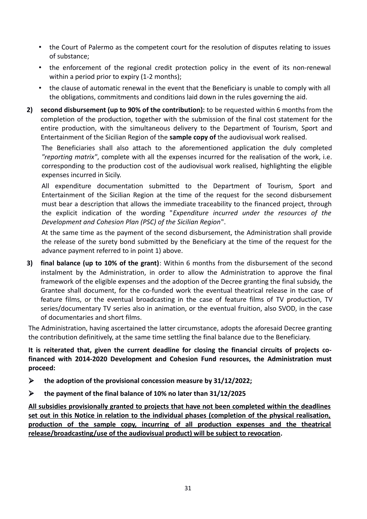- the Court of Palermo as the competent court for the resolution of disputes relating to issues of substance;
- the enforcement of the regional credit protection policy in the event of its non-renewal within a period prior to expiry (1-2 months);
- the clause of automatic renewal in the event that the Beneficiary is unable to comply with all the obligations, commitments and conditions laid down in the rules governing the aid.
- **2) second disbursement (up to 90% of the contribution):** to be requested within 6 months from the completion of the production, together with the submission of the final cost statement for the entire production, with the simultaneous delivery to the Department of Tourism, Sport and Entertainment of the Sicilian Region of the **sample copy of** the audiovisual work realised.

The Beneficiaries shall also attach to the aforementioned application the duly completed *"reporting matrix"*, complete with all the expenses incurred for the realisation of the work, i.e. corresponding to the production cost of the audiovisual work realised, highlighting the eligible expenses incurred in Sicily.

All expenditure documentation submitted to the Department of Tourism, Sport and Entertainment of the Sicilian Region at the time of the request for the second disbursement must bear a description that allows the immediate traceability to the financed project, through the explicit indication of the wording "*Expenditure incurred under the resources of the Development and Cohesion Plan (PSC) of the Sicilian Region*".

At the same time as the payment of the second disbursement, the Administration shall provide the release of the surety bond submitted by the Beneficiary at the time of the request for the advance payment referred to in point 1) above.

**3) final balance (up to 10% of the grant)**: Within 6 months from the disbursement of the second instalment by the Administration, in order to allow the Administration to approve the final framework of the eligible expenses and the adoption of the Decree granting the final subsidy, the Grantee shall document, for the co-funded work the eventual theatrical release in the case of feature films, or the eventual broadcasting in the case of feature films of TV production, TV series/documentary TV series also in animation, or the eventual fruition, also SVOD, in the case of documentaries and short films.

The Administration, having ascertained the latter circumstance, adopts the aforesaid Decree granting the contribution definitively, at the same time settling the final balance due to the Beneficiary.

**It is reiterated that, given the current deadline for closing the financial circuits of projects cofinanced with 2014-2020 Development and Cohesion Fund resources, the Administration must proceed:**

- **the adoption of the provisional concession measure by 31/12/2022;**
- **the payment of the final balance of 10% no later than 31/12/2025**

**All subsidies provisionally granted to projects that have not been completed within the deadlines set out in this Notice in relation to the individual phases (completion of the physical realisation, production of the sample copy, incurring of all production expenses and the theatrical release/broadcasting/use of the audiovisual product) will be subject to revocation.**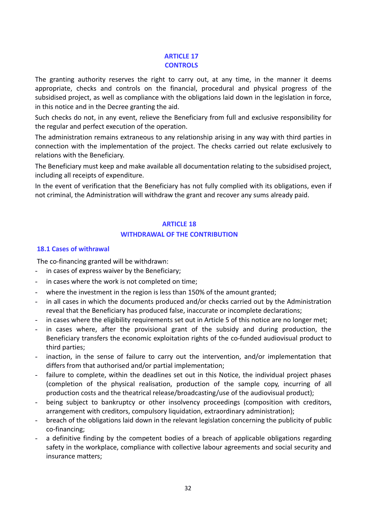#### **ARTICLE 17 CONTROLS**

The granting authority reserves the right to carry out, at any time, in the manner it deems appropriate, checks and controls on the financial, procedural and physical progress of the subsidised project, as well as compliance with the obligations laid down in the legislation in force, in this notice and in the Decree granting the aid.

Such checks do not, in any event, relieve the Beneficiary from full and exclusive responsibility for the regular and perfect execution of the operation.

The administration remains extraneous to any relationship arising in any way with third parties in connection with the implementation of the project. The checks carried out relate exclusively to relations with the Beneficiary.

The Beneficiary must keep and make available all documentation relating to the subsidised project, including all receipts of expenditure.

In the event of verification that the Beneficiary has not fully complied with its obligations, even if not criminal, the Administration will withdraw the grant and recover any sums already paid.

#### **ARTICLE 18**

## **WITHDRAWAL OF THE CONTRIBUTION**

#### <span id="page-31-0"></span>**18.1 Cases of withrawal**

The co-financing granted will be withdrawn:

- in cases of express waiver by the Beneficiary;
- in cases where the work is not completed on time;
- where the investment in the region is less than 150% of the amount granted;
- in all cases in which the documents produced and/or checks carried out by the Administration reveal that the Beneficiary has produced false, inaccurate or incomplete declarations;
- in cases where the eligibility requirements set out in Article 5 of this notice are no longer met;
- in cases where, after the provisional grant of the subsidy and during production, the Beneficiary transfers the economic exploitation rights of the co-funded audiovisual product to third parties;
- inaction, in the sense of failure to carry out the intervention, and/or implementation that differs from that authorised and/or partial implementation;
- failure to complete, within the deadlines set out in this Notice, the individual project phases (completion of the physical realisation, production of the sample copy, incurring of all production costs and the theatrical release/broadcasting/use of the audiovisual product);
- being subject to bankruptcy or other insolvency proceedings (composition with creditors, arrangement with creditors, compulsory liquidation, extraordinary administration);
- breach of the obligations laid down in the relevant legislation concerning the publicity of public co-financing;
- a definitive finding by the competent bodies of a breach of applicable obligations regarding safety in the workplace, compliance with collective labour agreements and social security and insurance matters;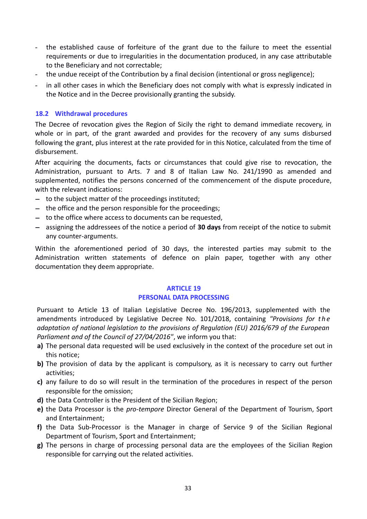- the established cause of forfeiture of the grant due to the failure to meet the essential requirements or due to irregularities in the documentation produced, in any case attributable to the Beneficiary and not correctable;
- the undue receipt of the Contribution by a final decision (intentional or gross negligence);
- in all other cases in which the Beneficiary does not comply with what is expressly indicated in the Notice and in the Decree provisionally granting the subsidy.

#### <span id="page-32-0"></span>**18.2 Withdrawal [procedures](#page-32-0)**

The Decree of revocation gives the Region of Sicily the right to demand immediate recovery, in whole or in part, of the grant awarded and provides for the recovery of any sums disbursed following the grant, plus interest at the rate provided for in this Notice, calculated from the time of disbursement.

After acquiring the documents, facts or circumstances that could give rise to revocation, the Administration, pursuant to Arts. 7 and 8 of Italian Law No. 241/1990 as amended and supplemented, notifies the persons concerned of the commencement of the dispute procedure, with the relevant indications:

- $-$  to the subject matter of the proceedings instituted;
- $-$  the office and the person responsible for the proceedings;
- to the office where access to documents can be requested,
- assigning the addressees of the notice a period of **30 days** from receipt of the notice to submit any counter-arguments.

Within the aforementioned period of 30 days, the interested parties may submit to the Administration written statements of defence on plain paper, together with any other documentation they deem appropriate.

#### **ARTICLE 19 PERSONAL DATA PROCESSING**

Pursuant to Article 13 of Italian Legislative Decree No. 196/2013, supplemented with the amendments introduced by Legislative Decree No. 101/2018, containing *"Provisions for t h e adaptation of national legislation to the provisions of Regulation (EU) 2016/679 of the European Parliament and of the Council of 27/04/2016"*, we inform you that:

- **a)** The personal data requested will be used exclusively in the context of the procedure set out in this notice;
- **b)** The provision of data by the applicant is compulsory, as it is necessary to carry out further activities;
- **c)** any failure to do so will result in the termination of the procedures in respect of the person responsible for the omission;
- **d)** the Data Controller is the President of the Sicilian Region;
- **e)** the Data Processor is the *pro-tempore* Director General of the Department of Tourism, Sport and Entertainment;
- **f)** the Data Sub-Processor is the Manager in charge of Service 9 of the Sicilian Regional Department of Tourism, Sport and Entertainment;
- **g)** The persons in charge of processing personal data are the employees of the Sicilian Region responsible for carrying out the related activities.